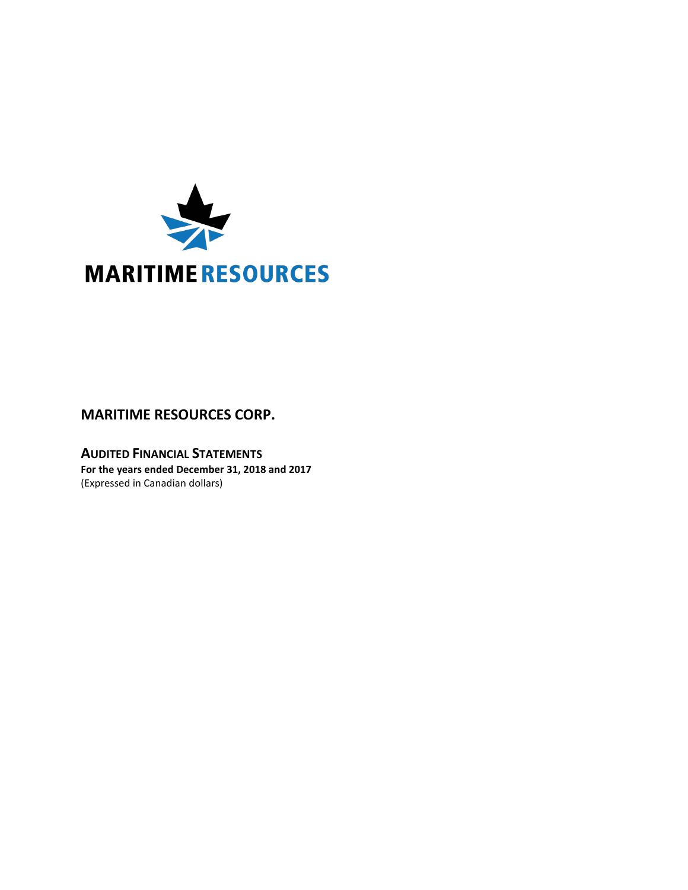

# **MARITIME RESOURCES CORP.**

**AUDITED FINANCIAL STATEMENTS For the years ended December 31, 2018 and 2017** (Expressed in Canadian dollars)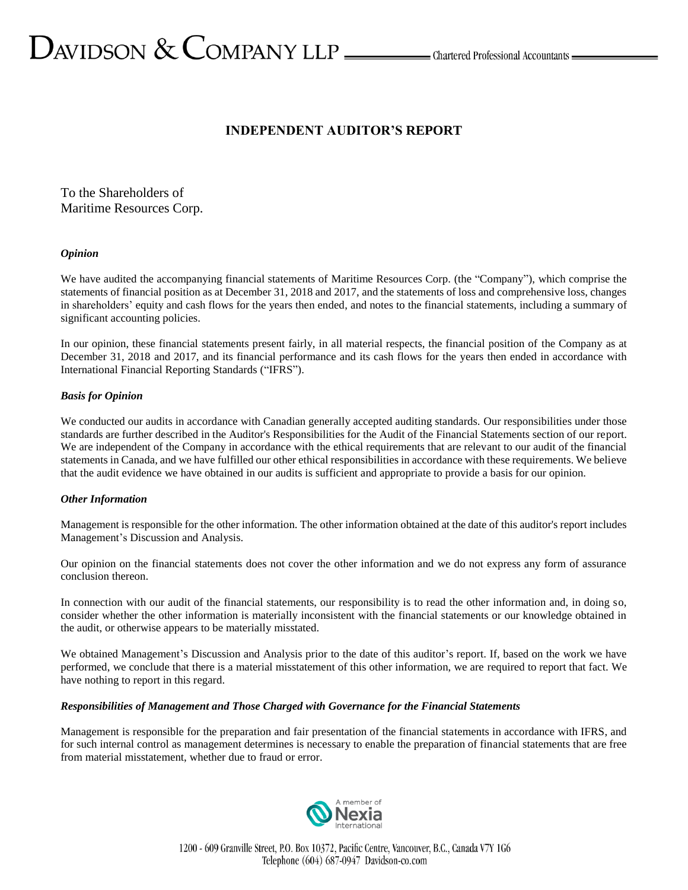# $D_{\text{AVIDSON}} \ \&\ \text{COMPANY LLP} \_\text{\tiny{Lap} \_\text{\tiny{C}hartered Professional Accountants}}$

# **INDEPENDENT AUDITOR'S REPORT**

To the Shareholders of Maritime Resources Corp.

## *Opinion*

We have audited the accompanying financial statements of Maritime Resources Corp. (the "Company"), which comprise the statements of financial position as at December 31, 2018 and 2017, and the statements of loss and comprehensive loss, changes in shareholders' equity and cash flows for the years then ended, and notes to the financial statements, including a summary of significant accounting policies.

In our opinion, these financial statements present fairly, in all material respects, the financial position of the Company as at December 31, 2018 and 2017, and its financial performance and its cash flows for the years then ended in accordance with International Financial Reporting Standards ("IFRS").

## *Basis for Opinion*

We conducted our audits in accordance with Canadian generally accepted auditing standards. Our responsibilities under those standards are further described in the Auditor's Responsibilities for the Audit of the Financial Statements section of our report. We are independent of the Company in accordance with the ethical requirements that are relevant to our audit of the financial statements in Canada, and we have fulfilled our other ethical responsibilities in accordance with these requirements. We believe that the audit evidence we have obtained in our audits is sufficient and appropriate to provide a basis for our opinion.

#### *Other Information*

Management is responsible for the other information. The other information obtained at the date of this auditor's report includes Management's Discussion and Analysis.

Our opinion on the financial statements does not cover the other information and we do not express any form of assurance conclusion thereon.

In connection with our audit of the financial statements, our responsibility is to read the other information and, in doing so, consider whether the other information is materially inconsistent with the financial statements or our knowledge obtained in the audit, or otherwise appears to be materially misstated.

We obtained Management's Discussion and Analysis prior to the date of this auditor's report. If, based on the work we have performed, we conclude that there is a material misstatement of this other information, we are required to report that fact. We have nothing to report in this regard.

#### *Responsibilities of Management and Those Charged with Governance for the Financial Statements*

Management is responsible for the preparation and fair presentation of the financial statements in accordance with IFRS, and for such internal control as management determines is necessary to enable the preparation of financial statements that are free from material misstatement, whether due to fraud or error.

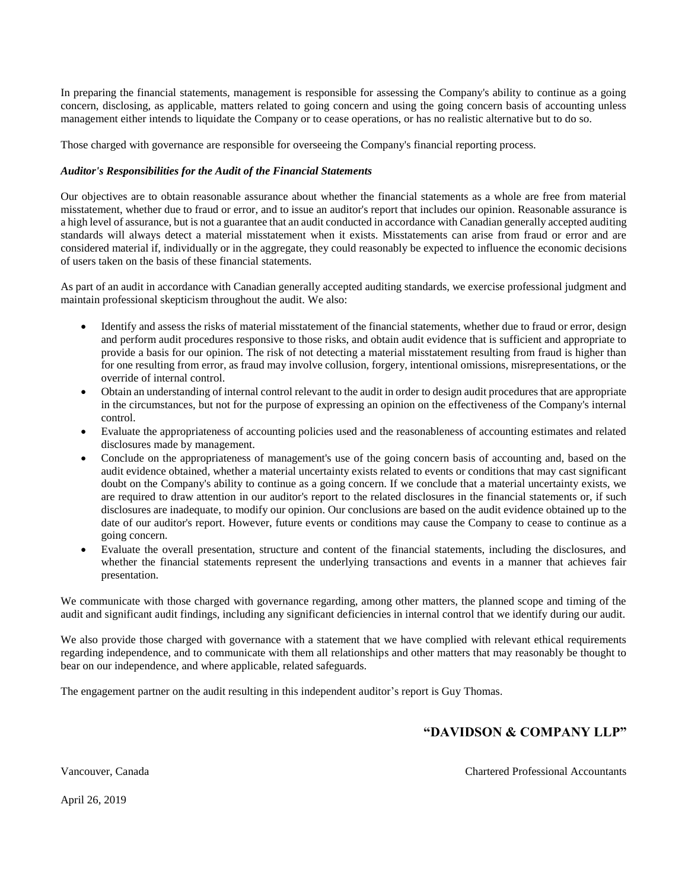In preparing the financial statements, management is responsible for assessing the Company's ability to continue as a going concern, disclosing, as applicable, matters related to going concern and using the going concern basis of accounting unless management either intends to liquidate the Company or to cease operations, or has no realistic alternative but to do so.

Those charged with governance are responsible for overseeing the Company's financial reporting process.

## *Auditor's Responsibilities for the Audit of the Financial Statements*

Our objectives are to obtain reasonable assurance about whether the financial statements as a whole are free from material misstatement, whether due to fraud or error, and to issue an auditor's report that includes our opinion. Reasonable assurance is a high level of assurance, but is not a guarantee that an audit conducted in accordance with Canadian generally accepted auditing standards will always detect a material misstatement when it exists. Misstatements can arise from fraud or error and are considered material if, individually or in the aggregate, they could reasonably be expected to influence the economic decisions of users taken on the basis of these financial statements.

As part of an audit in accordance with Canadian generally accepted auditing standards, we exercise professional judgment and maintain professional skepticism throughout the audit. We also:

- Identify and assess the risks of material misstatement of the financial statements, whether due to fraud or error, design and perform audit procedures responsive to those risks, and obtain audit evidence that is sufficient and appropriate to provide a basis for our opinion. The risk of not detecting a material misstatement resulting from fraud is higher than for one resulting from error, as fraud may involve collusion, forgery, intentional omissions, misrepresentations, or the override of internal control.
- Obtain an understanding of internal control relevant to the audit in order to design audit procedures that are appropriate in the circumstances, but not for the purpose of expressing an opinion on the effectiveness of the Company's internal control.
- Evaluate the appropriateness of accounting policies used and the reasonableness of accounting estimates and related disclosures made by management.
- Conclude on the appropriateness of management's use of the going concern basis of accounting and, based on the audit evidence obtained, whether a material uncertainty exists related to events or conditions that may cast significant doubt on the Company's ability to continue as a going concern. If we conclude that a material uncertainty exists, we are required to draw attention in our auditor's report to the related disclosures in the financial statements or, if such disclosures are inadequate, to modify our opinion. Our conclusions are based on the audit evidence obtained up to the date of our auditor's report. However, future events or conditions may cause the Company to cease to continue as a going concern.
- Evaluate the overall presentation, structure and content of the financial statements, including the disclosures, and whether the financial statements represent the underlying transactions and events in a manner that achieves fair presentation.

We communicate with those charged with governance regarding, among other matters, the planned scope and timing of the audit and significant audit findings, including any significant deficiencies in internal control that we identify during our audit.

We also provide those charged with governance with a statement that we have complied with relevant ethical requirements regarding independence, and to communicate with them all relationships and other matters that may reasonably be thought to bear on our independence, and where applicable, related safeguards.

The engagement partner on the audit resulting in this independent auditor's report is Guy Thomas.

# **"DAVIDSON & COMPANY LLP"**

Vancouver, Canada Chartered Professional Accountants

April 26, 2019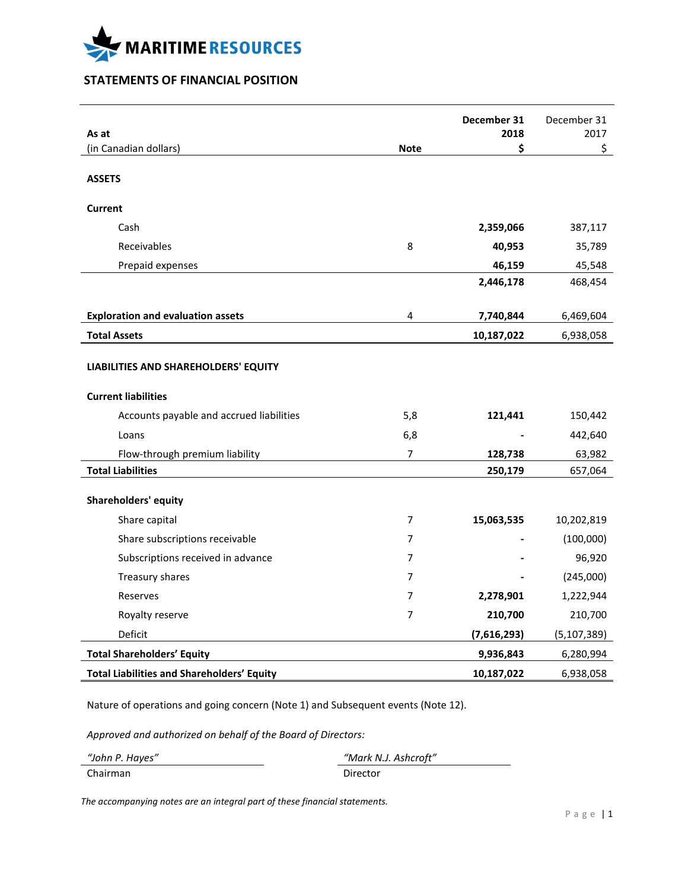

# **STATEMENTS OF FINANCIAL POSITION**

|                                                   |                | December 31 | December 31   |
|---------------------------------------------------|----------------|-------------|---------------|
| As at<br>(in Canadian dollars)                    |                | 2018        | 2017          |
|                                                   | <b>Note</b>    | \$          | \$            |
| <b>ASSETS</b>                                     |                |             |               |
| Current                                           |                |             |               |
| Cash                                              |                | 2,359,066   | 387,117       |
| Receivables                                       | 8              | 40,953      | 35,789        |
| Prepaid expenses                                  |                | 46,159      | 45,548        |
|                                                   |                | 2,446,178   | 468,454       |
|                                                   | 4              |             |               |
| <b>Exploration and evaluation assets</b>          |                | 7,740,844   | 6,469,604     |
| <b>Total Assets</b>                               |                | 10,187,022  | 6,938,058     |
| LIABILITIES AND SHAREHOLDERS' EQUITY              |                |             |               |
| <b>Current liabilities</b>                        |                |             |               |
| Accounts payable and accrued liabilities          | 5,8            | 121,441     | 150,442       |
| Loans                                             | 6,8            |             | 442,640       |
| Flow-through premium liability                    | 7              | 128,738     | 63,982        |
| <b>Total Liabilities</b>                          |                | 250,179     | 657,064       |
| Shareholders' equity                              |                |             |               |
| Share capital                                     | $\overline{7}$ | 15,063,535  | 10,202,819    |
| Share subscriptions receivable                    | $\overline{7}$ |             | (100,000)     |
| Subscriptions received in advance                 | 7              |             | 96,920        |
| Treasury shares                                   | 7              |             | (245,000)     |
| Reserves                                          | $\overline{7}$ | 2,278,901   | 1,222,944     |
| Royalty reserve                                   | 7              | 210,700     | 210,700       |
| Deficit                                           |                | (7,616,293) | (5, 107, 389) |
| <b>Total Shareholders' Equity</b>                 |                | 9,936,843   | 6,280,994     |
| <b>Total Liabilities and Shareholders' Equity</b> |                | 10,187,022  | 6,938,058     |

Nature of operations and going concern (Note 1) and Subsequent events (Note 12).

*Approved and authorized on behalf of the Board of Directors:*

| "John P. Haves" | "Mark N.J. Ashcroft" |
|-----------------|----------------------|
| Chairman        | Director             |

*The accompanying notes are an integral part of these financial statements.*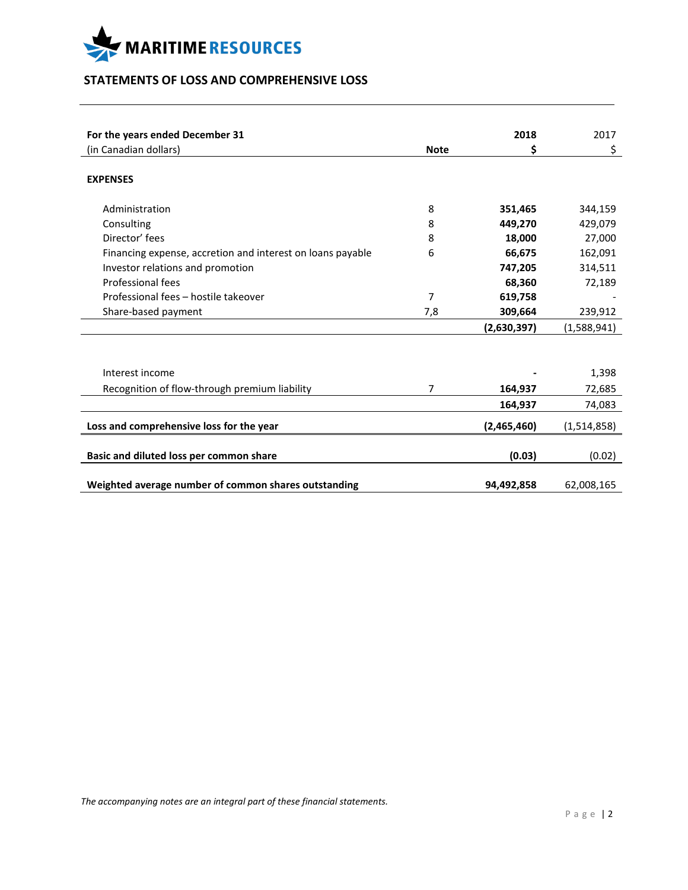

# **STATEMENTS OF LOSS AND COMPREHENSIVE LOSS**

| For the years ended December 31                            |             | 2018        | 2017        |
|------------------------------------------------------------|-------------|-------------|-------------|
| (in Canadian dollars)                                      | <b>Note</b> | \$          | \$          |
|                                                            |             |             |             |
| <b>EXPENSES</b>                                            |             |             |             |
|                                                            |             |             |             |
| Administration                                             | 8           | 351,465     | 344,159     |
| Consulting                                                 | 8           | 449,270     | 429,079     |
| Director' fees                                             | 8           | 18,000      | 27,000      |
| Financing expense, accretion and interest on loans payable | 6           | 66,675      | 162,091     |
| Investor relations and promotion                           |             | 747,205     | 314,511     |
| Professional fees                                          |             | 68,360      | 72,189      |
| Professional fees - hostile takeover                       | 7           | 619,758     |             |
| Share-based payment                                        | 7,8         | 309,664     | 239,912     |
|                                                            |             | (2,630,397) | (1,588,941) |
|                                                            |             |             |             |
|                                                            |             |             |             |
| Interest income                                            |             |             | 1,398       |
| Recognition of flow-through premium liability              | 7           | 164,937     | 72,685      |
|                                                            |             | 164,937     | 74,083      |
| Loss and comprehensive loss for the year                   |             | (2,465,460) | (1,514,858) |
|                                                            |             |             |             |
| Basic and diluted loss per common share                    |             | (0.03)      | (0.02)      |
|                                                            |             |             |             |
| Weighted average number of common shares outstanding       |             | 94,492,858  | 62,008,165  |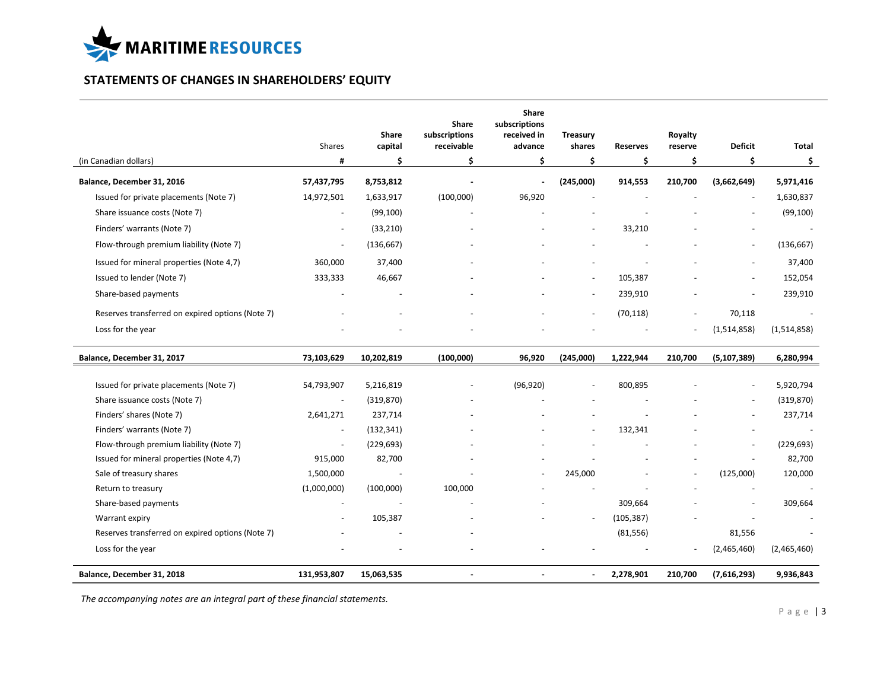

# **STATEMENTS OF CHANGES IN SHAREHOLDERS' EQUITY**

|                                                        | Shares                   | Share<br>capital         | <b>Share</b><br>subscriptions<br>receivable | <b>Share</b><br>subscriptions<br>received in<br>advance | <b>Treasury</b><br>shares | <b>Reserves</b> | Royalty<br>reserve       | <b>Deficit</b>           | Total       |
|--------------------------------------------------------|--------------------------|--------------------------|---------------------------------------------|---------------------------------------------------------|---------------------------|-----------------|--------------------------|--------------------------|-------------|
| (in Canadian dollars)                                  | #                        | \$                       | Ś                                           | \$                                                      | Ś                         | \$              | \$                       | Ś                        | \$          |
| Balance, December 31, 2016                             | 57,437,795               | 8,753,812                |                                             |                                                         | (245,000)                 | 914,553         | 210,700                  | (3,662,649)              | 5,971,416   |
| Issued for private placements (Note 7)                 | 14,972,501               | 1,633,917                | (100,000)                                   | 96,920                                                  |                           |                 |                          | $\overline{\phantom{a}}$ | 1,630,837   |
| Share issuance costs (Note 7)                          | $\overline{\phantom{a}}$ | (99, 100)                |                                             |                                                         |                           |                 |                          |                          | (99, 100)   |
| Finders' warrants (Note 7)                             | $\overline{\phantom{a}}$ | (33,210)                 |                                             |                                                         |                           | 33,210          |                          |                          |             |
| Flow-through premium liability (Note 7)                | $\overline{\phantom{a}}$ | (136, 667)               |                                             |                                                         |                           |                 |                          |                          | (136, 667)  |
| Issued for mineral properties (Note 4,7)               | 360,000                  | 37,400                   |                                             |                                                         |                           |                 |                          | $\overline{\phantom{a}}$ | 37,400      |
| Issued to lender (Note 7)                              | 333,333                  | 46,667                   |                                             |                                                         |                           | 105,387         |                          |                          | 152,054     |
| Share-based payments                                   |                          |                          |                                             |                                                         |                           | 239,910         |                          |                          | 239,910     |
| Reserves transferred on expired options (Note 7)       |                          |                          |                                             |                                                         |                           | (70, 118)       |                          | 70,118                   |             |
| Loss for the year                                      |                          |                          |                                             |                                                         |                           |                 |                          | (1,514,858)              | (1,514,858) |
| Balance, December 31, 2017                             | 73,103,629               | 10,202,819               | (100,000)                                   | 96,920                                                  | (245,000)                 | 1,222,944       | 210,700                  | (5, 107, 389)            | 6,280,994   |
|                                                        |                          |                          |                                             |                                                         |                           |                 |                          |                          |             |
| Issued for private placements (Note 7)                 | 54,793,907               | 5,216,819                |                                             | (96, 920)                                               |                           | 800,895         |                          |                          | 5,920,794   |
| Share issuance costs (Note 7)                          | $\overline{\phantom{a}}$ | (319, 870)               |                                             |                                                         |                           |                 |                          |                          | (319, 870)  |
| Finders' shares (Note 7)<br>Finders' warrants (Note 7) | 2,641,271                | 237,714                  |                                             |                                                         |                           | 132,341         |                          |                          | 237,714     |
| Flow-through premium liability (Note 7)                | $\overline{\phantom{a}}$ | (132, 341)<br>(229, 693) |                                             |                                                         |                           |                 |                          |                          | (229, 693)  |
| Issued for mineral properties (Note 4,7)               | 915,000                  | 82,700                   |                                             |                                                         |                           |                 |                          |                          | 82,700      |
| Sale of treasury shares                                | 1,500,000                |                          |                                             |                                                         | 245,000                   |                 | $\overline{\phantom{a}}$ | (125,000)                | 120,000     |
| Return to treasury                                     | (1,000,000)              | (100,000)                | 100,000                                     |                                                         |                           |                 |                          |                          |             |
| Share-based payments                                   |                          |                          |                                             |                                                         |                           | 309,664         |                          |                          | 309,664     |
| Warrant expiry                                         |                          | 105,387                  |                                             |                                                         |                           | (105, 387)      |                          |                          |             |
| Reserves transferred on expired options (Note 7)       |                          |                          |                                             |                                                         |                           | (81, 556)       |                          | 81,556                   |             |
| Loss for the year                                      |                          |                          |                                             |                                                         |                           |                 |                          | (2,465,460)              | (2,465,460) |
| Balance, December 31, 2018                             | 131,953,807              | 15,063,535               | ÷,                                          |                                                         |                           | 2,278,901       | 210,700                  | (7,616,293)              | 9,936,843   |

*The accompanying notes are an integral part of these financial statements.*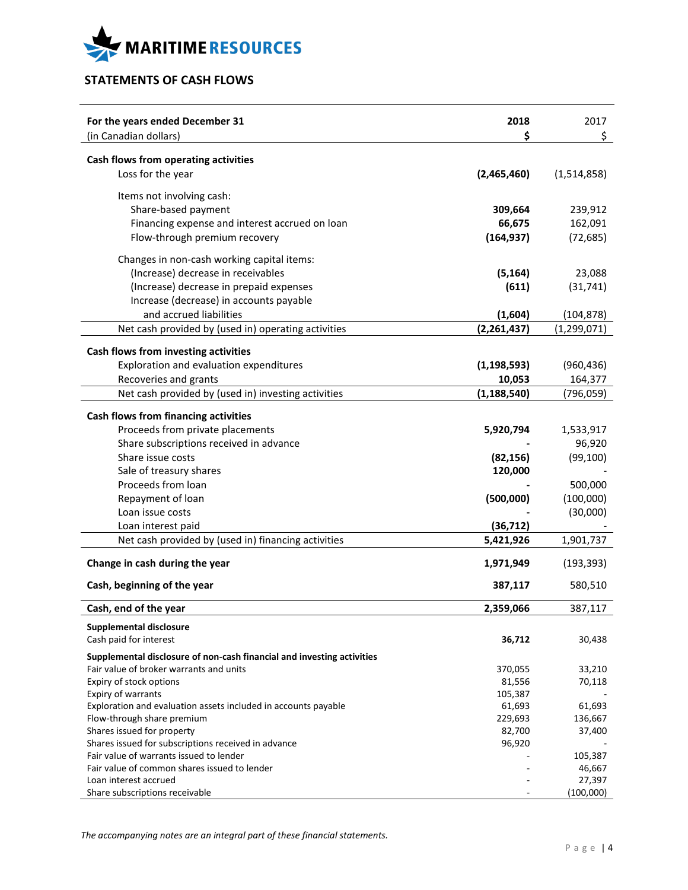

# **STATEMENTS OF CASH FLOWS**

| For the years ended December 31<br>(in Canadian dollars)                          | 2018<br>\$    | 2017<br>\$    |
|-----------------------------------------------------------------------------------|---------------|---------------|
| Cash flows from operating activities                                              |               |               |
| Loss for the year                                                                 | (2,465,460)   | (1,514,858)   |
| Items not involving cash:                                                         |               |               |
| Share-based payment                                                               | 309,664       | 239,912       |
| Financing expense and interest accrued on loan                                    | 66,675        | 162,091       |
| Flow-through premium recovery                                                     | (164, 937)    | (72, 685)     |
| Changes in non-cash working capital items:                                        |               |               |
| (Increase) decrease in receivables                                                | (5, 164)      | 23,088        |
| (Increase) decrease in prepaid expenses                                           | (611)         | (31, 741)     |
| Increase (decrease) in accounts payable                                           |               |               |
| and accrued liabilities                                                           | (1,604)       | (104, 878)    |
| Net cash provided by (used in) operating activities                               | (2, 261, 437) | (1, 299, 071) |
|                                                                                   |               |               |
| Cash flows from investing activities                                              |               |               |
| Exploration and evaluation expenditures                                           | (1, 198, 593) | (960, 436)    |
| Recoveries and grants                                                             | 10,053        | 164,377       |
| Net cash provided by (used in) investing activities                               | (1, 188, 540) | (796, 059)    |
| Cash flows from financing activities                                              |               |               |
| Proceeds from private placements                                                  | 5,920,794     | 1,533,917     |
| Share subscriptions received in advance                                           |               | 96,920        |
| Share issue costs                                                                 | (82, 156)     | (99, 100)     |
| Sale of treasury shares                                                           | 120,000       |               |
| Proceeds from loan                                                                |               | 500,000       |
| Repayment of loan                                                                 | (500,000)     | (100,000)     |
| Loan issue costs                                                                  |               | (30,000)      |
| Loan interest paid                                                                | (36, 712)     |               |
| Net cash provided by (used in) financing activities                               | 5,421,926     | 1,901,737     |
| Change in cash during the year                                                    | 1,971,949     | (193, 393)    |
| Cash, beginning of the year                                                       | 387,117       | 580,510       |
| Cash, end of the year                                                             | 2.359.066     | 387.117       |
| <b>Supplemental disclosure</b>                                                    |               |               |
| Cash paid for interest                                                            | 36,712        | 30,438        |
| Supplemental disclosure of non-cash financial and investing activities            |               |               |
| Fair value of broker warrants and units                                           | 370,055       | 33,210        |
| Expiry of stock options                                                           | 81,556        | 70,118        |
| Expiry of warrants                                                                | 105,387       |               |
| Exploration and evaluation assets included in accounts payable                    | 61,693        | 61,693        |
| Flow-through share premium                                                        | 229,693       | 136,667       |
| Shares issued for property<br>Shares issued for subscriptions received in advance | 82,700        | 37,400        |
| Fair value of warrants issued to lender                                           | 96,920        | 105,387       |
| Fair value of common shares issued to lender                                      |               | 46,667        |
| Loan interest accrued                                                             |               | 27,397        |
| Share subscriptions receivable                                                    |               | (100,000)     |

*The accompanying notes are an integral part of these financial statements.*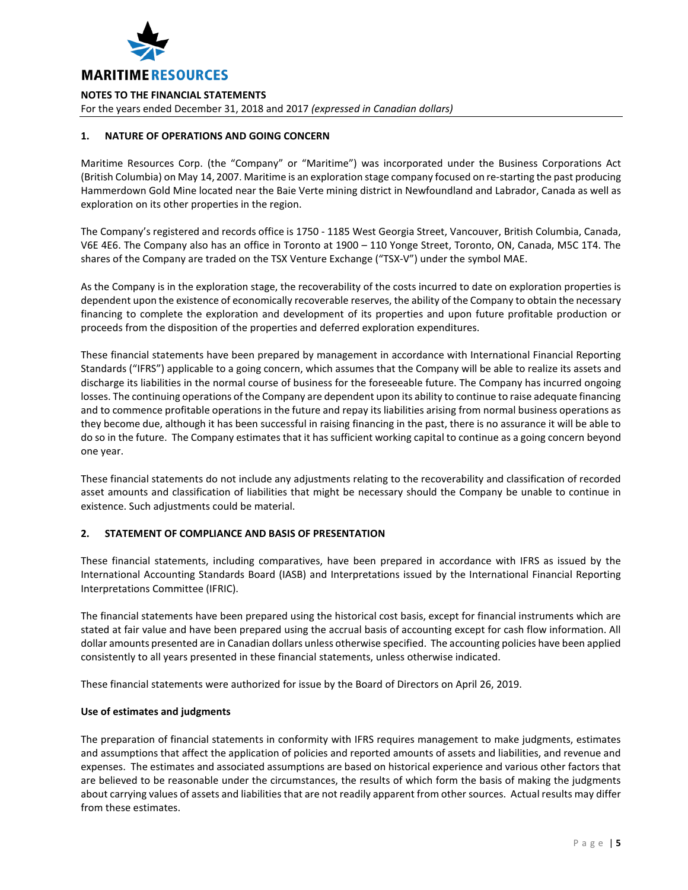

**NOTES TO THE FINANCIAL STATEMENTS** For the years ended December 31, 2018 and 2017 *(expressed in Canadian dollars)*

## **1. NATURE OF OPERATIONS AND GOING CONCERN**

Maritime Resources Corp. (the "Company" or "Maritime") was incorporated under the Business Corporations Act (British Columbia) on May 14, 2007. Maritime is an exploration stage company focused on re-starting the past producing Hammerdown Gold Mine located near the Baie Verte mining district in Newfoundland and Labrador, Canada as well as exploration on its other properties in the region.

The Company's registered and records office is 1750 - 1185 West Georgia Street, Vancouver, British Columbia, Canada, V6E 4E6. The Company also has an office in Toronto at 1900 – 110 Yonge Street, Toronto, ON, Canada, M5C 1T4. The shares of the Company are traded on the TSX Venture Exchange ("TSX-V") under the symbol MAE.

As the Company is in the exploration stage, the recoverability of the costs incurred to date on exploration properties is dependent upon the existence of economically recoverable reserves, the ability of the Company to obtain the necessary financing to complete the exploration and development of its properties and upon future profitable production or proceeds from the disposition of the properties and deferred exploration expenditures.

These financial statements have been prepared by management in accordance with International Financial Reporting Standards ("IFRS") applicable to a going concern, which assumes that the Company will be able to realize its assets and discharge its liabilities in the normal course of business for the foreseeable future. The Company has incurred ongoing losses. The continuing operations of the Company are dependent upon its ability to continue to raise adequate financing and to commence profitable operations in the future and repay its liabilities arising from normal business operations as they become due, although it has been successful in raising financing in the past, there is no assurance it will be able to do so in the future. The Company estimates that it has sufficient working capital to continue as a going concern beyond one year.

These financial statements do not include any adjustments relating to the recoverability and classification of recorded asset amounts and classification of liabilities that might be necessary should the Company be unable to continue in existence. Such adjustments could be material.

# **2. STATEMENT OF COMPLIANCE AND BASIS OF PRESENTATION**

These financial statements, including comparatives, have been prepared in accordance with IFRS as issued by the International Accounting Standards Board (IASB) and Interpretations issued by the International Financial Reporting Interpretations Committee (IFRIC).

The financial statements have been prepared using the historical cost basis, except for financial instruments which are stated at fair value and have been prepared using the accrual basis of accounting except for cash flow information. All dollar amounts presented are in Canadian dollars unless otherwise specified. The accounting policies have been applied consistently to all years presented in these financial statements, unless otherwise indicated.

These financial statements were authorized for issue by the Board of Directors on April 26, 2019.

#### **Use of estimates and judgments**

The preparation of financial statements in conformity with IFRS requires management to make judgments, estimates and assumptions that affect the application of policies and reported amounts of assets and liabilities, and revenue and expenses. The estimates and associated assumptions are based on historical experience and various other factors that are believed to be reasonable under the circumstances, the results of which form the basis of making the judgments about carrying values of assets and liabilities that are not readily apparent from other sources. Actual results may differ from these estimates.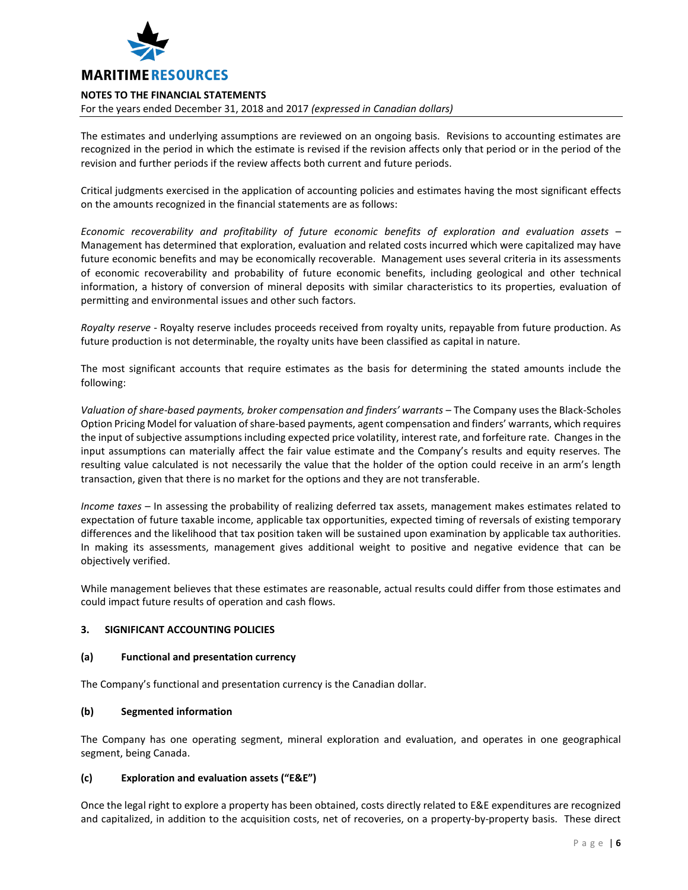

For the years ended December 31, 2018 and 2017 *(expressed in Canadian dollars)*

The estimates and underlying assumptions are reviewed on an ongoing basis. Revisions to accounting estimates are recognized in the period in which the estimate is revised if the revision affects only that period or in the period of the revision and further periods if the review affects both current and future periods.

Critical judgments exercised in the application of accounting policies and estimates having the most significant effects on the amounts recognized in the financial statements are as follows:

*Economic recoverability and profitability of future economic benefits of exploration and evaluation assets* – Management has determined that exploration, evaluation and related costs incurred which were capitalized may have future economic benefits and may be economically recoverable. Management uses several criteria in its assessments of economic recoverability and probability of future economic benefits, including geological and other technical information, a history of conversion of mineral deposits with similar characteristics to its properties, evaluation of permitting and environmental issues and other such factors.

*Royalty reserve* - Royalty reserve includes proceeds received from royalty units, repayable from future production. As future production is not determinable, the royalty units have been classified as capital in nature.

The most significant accounts that require estimates as the basis for determining the stated amounts include the following:

*Valuation of share-based payments, broker compensation and finders' warrants* – The Company uses the Black-Scholes Option Pricing Model for valuation of share-based payments, agent compensation and finders' warrants, which requires the input of subjective assumptions including expected price volatility, interest rate, and forfeiture rate. Changes in the input assumptions can materially affect the fair value estimate and the Company's results and equity reserves. The resulting value calculated is not necessarily the value that the holder of the option could receive in an arm's length transaction, given that there is no market for the options and they are not transferable.

*Income taxes* – In assessing the probability of realizing deferred tax assets, management makes estimates related to expectation of future taxable income, applicable tax opportunities, expected timing of reversals of existing temporary differences and the likelihood that tax position taken will be sustained upon examination by applicable tax authorities. In making its assessments, management gives additional weight to positive and negative evidence that can be objectively verified.

While management believes that these estimates are reasonable, actual results could differ from those estimates and could impact future results of operation and cash flows.

#### **3. SIGNIFICANT ACCOUNTING POLICIES**

#### **(a) Functional and presentation currency**

The Company's functional and presentation currency is the Canadian dollar.

#### **(b) Segmented information**

The Company has one operating segment, mineral exploration and evaluation, and operates in one geographical segment, being Canada.

## **(c) Exploration and evaluation assets ("E&E")**

Once the legal right to explore a property has been obtained, costs directly related to E&E expenditures are recognized and capitalized, in addition to the acquisition costs, net of recoveries, on a property-by-property basis. These direct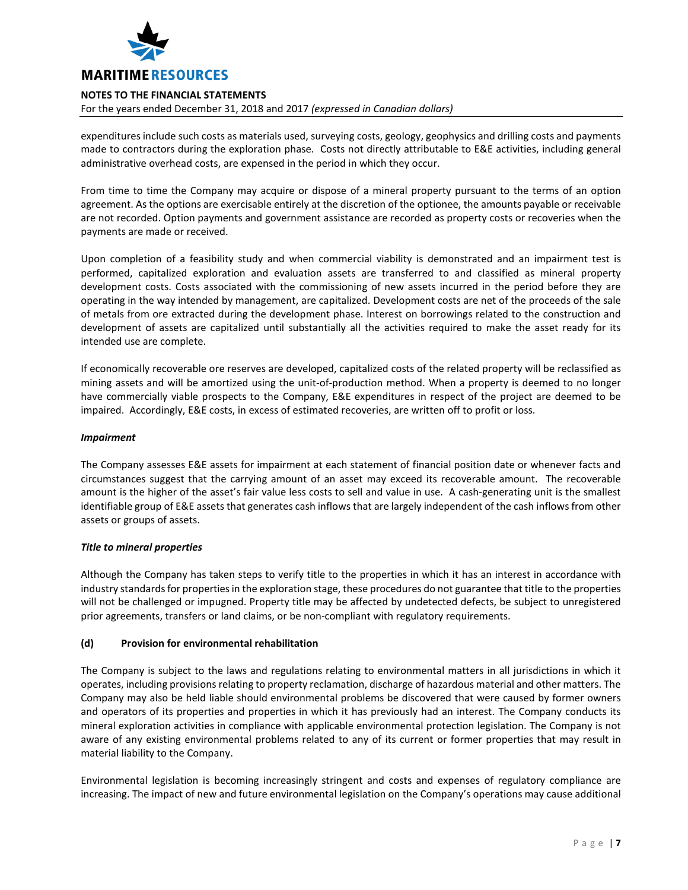

For the years ended December 31, 2018 and 2017 *(expressed in Canadian dollars)*

expenditures include such costs as materials used, surveying costs, geology, geophysics and drilling costs and payments made to contractors during the exploration phase. Costs not directly attributable to E&E activities, including general administrative overhead costs, are expensed in the period in which they occur.

From time to time the Company may acquire or dispose of a mineral property pursuant to the terms of an option agreement. As the options are exercisable entirely at the discretion of the optionee, the amounts payable or receivable are not recorded. Option payments and government assistance are recorded as property costs or recoveries when the payments are made or received.

Upon completion of a feasibility study and when commercial viability is demonstrated and an impairment test is performed, capitalized exploration and evaluation assets are transferred to and classified as mineral property development costs. Costs associated with the commissioning of new assets incurred in the period before they are operating in the way intended by management, are capitalized. Development costs are net of the proceeds of the sale of metals from ore extracted during the development phase. Interest on borrowings related to the construction and development of assets are capitalized until substantially all the activities required to make the asset ready for its intended use are complete.

If economically recoverable ore reserves are developed, capitalized costs of the related property will be reclassified as mining assets and will be amortized using the unit-of-production method. When a property is deemed to no longer have commercially viable prospects to the Company, E&E expenditures in respect of the project are deemed to be impaired. Accordingly, E&E costs, in excess of estimated recoveries, are written off to profit or loss.

#### *Impairment*

The Company assesses E&E assets for impairment at each statement of financial position date or whenever facts and circumstances suggest that the carrying amount of an asset may exceed its recoverable amount. The recoverable amount is the higher of the asset's fair value less costs to sell and value in use. A cash-generating unit is the smallest identifiable group of E&E assets that generates cash inflows that are largely independent of the cash inflows from other assets or groups of assets.

#### *Title to mineral properties*

Although the Company has taken steps to verify title to the properties in which it has an interest in accordance with industry standards for properties in the exploration stage, these procedures do not guarantee that title to the properties will not be challenged or impugned. Property title may be affected by undetected defects, be subject to unregistered prior agreements, transfers or land claims, or be non-compliant with regulatory requirements.

#### **(d) Provision for environmental rehabilitation**

The Company is subject to the laws and regulations relating to environmental matters in all jurisdictions in which it operates, including provisions relating to property reclamation, discharge of hazardous material and other matters. The Company may also be held liable should environmental problems be discovered that were caused by former owners and operators of its properties and properties in which it has previously had an interest. The Company conducts its mineral exploration activities in compliance with applicable environmental protection legislation. The Company is not aware of any existing environmental problems related to any of its current or former properties that may result in material liability to the Company.

Environmental legislation is becoming increasingly stringent and costs and expenses of regulatory compliance are increasing. The impact of new and future environmental legislation on the Company's operations may cause additional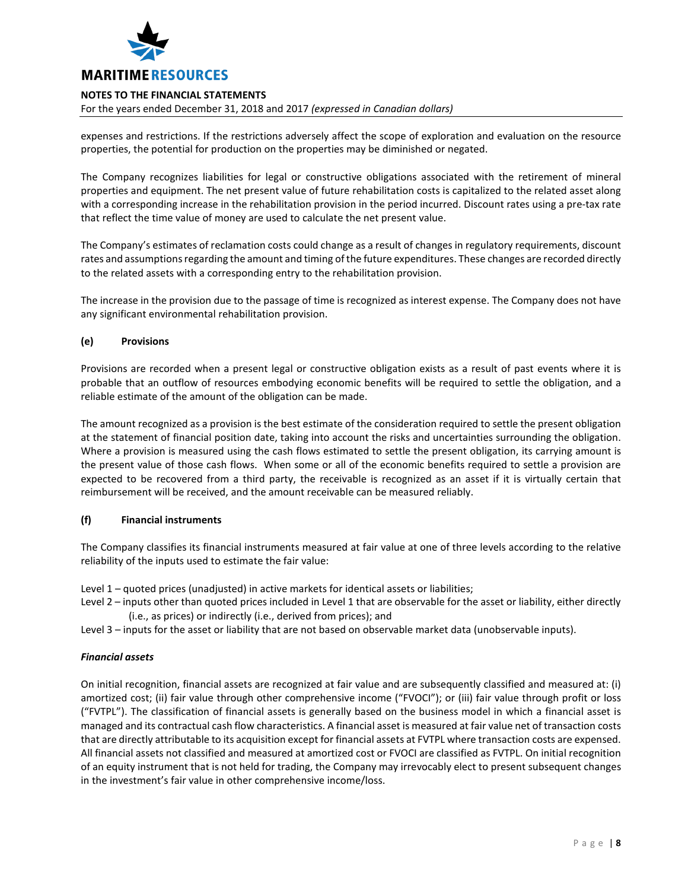

For the years ended December 31, 2018 and 2017 *(expressed in Canadian dollars)*

expenses and restrictions. If the restrictions adversely affect the scope of exploration and evaluation on the resource properties, the potential for production on the properties may be diminished or negated.

The Company recognizes liabilities for legal or constructive obligations associated with the retirement of mineral properties and equipment. The net present value of future rehabilitation costs is capitalized to the related asset along with a corresponding increase in the rehabilitation provision in the period incurred. Discount rates using a pre-tax rate that reflect the time value of money are used to calculate the net present value.

The Company's estimates of reclamation costs could change as a result of changes in regulatory requirements, discount rates and assumptions regarding the amount and timing of the future expenditures. These changes are recorded directly to the related assets with a corresponding entry to the rehabilitation provision.

The increase in the provision due to the passage of time is recognized as interest expense. The Company does not have any significant environmental rehabilitation provision.

## **(e) Provisions**

Provisions are recorded when a present legal or constructive obligation exists as a result of past events where it is probable that an outflow of resources embodying economic benefits will be required to settle the obligation, and a reliable estimate of the amount of the obligation can be made.

The amount recognized as a provision is the best estimate of the consideration required to settle the present obligation at the statement of financial position date, taking into account the risks and uncertainties surrounding the obligation. Where a provision is measured using the cash flows estimated to settle the present obligation, its carrying amount is the present value of those cash flows. When some or all of the economic benefits required to settle a provision are expected to be recovered from a third party, the receivable is recognized as an asset if it is virtually certain that reimbursement will be received, and the amount receivable can be measured reliably.

# **(f) Financial instruments**

The Company classifies its financial instruments measured at fair value at one of three levels according to the relative reliability of the inputs used to estimate the fair value:

- Level 1 quoted prices (unadjusted) in active markets for identical assets or liabilities;
- Level 2 inputs other than quoted prices included in Level 1 that are observable for the asset or liability, either directly (i.e., as prices) or indirectly (i.e., derived from prices); and
- Level 3 inputs for the asset or liability that are not based on observable market data (unobservable inputs).

#### *Financial assets*

On initial recognition, financial assets are recognized at fair value and are subsequently classified and measured at: (i) amortized cost; (ii) fair value through other comprehensive income ("FVOCI"); or (iii) fair value through profit or loss ("FVTPL"). The classification of financial assets is generally based on the business model in which a financial asset is managed and its contractual cash flow characteristics. A financial asset is measured at fair value net of transaction costs that are directly attributable to its acquisition except for financial assets at FVTPL where transaction costs are expensed. All financial assets not classified and measured at amortized cost or FVOCI are classified as FVTPL. On initial recognition of an equity instrument that is not held for trading, the Company may irrevocably elect to present subsequent changes in the investment's fair value in other comprehensive income/loss.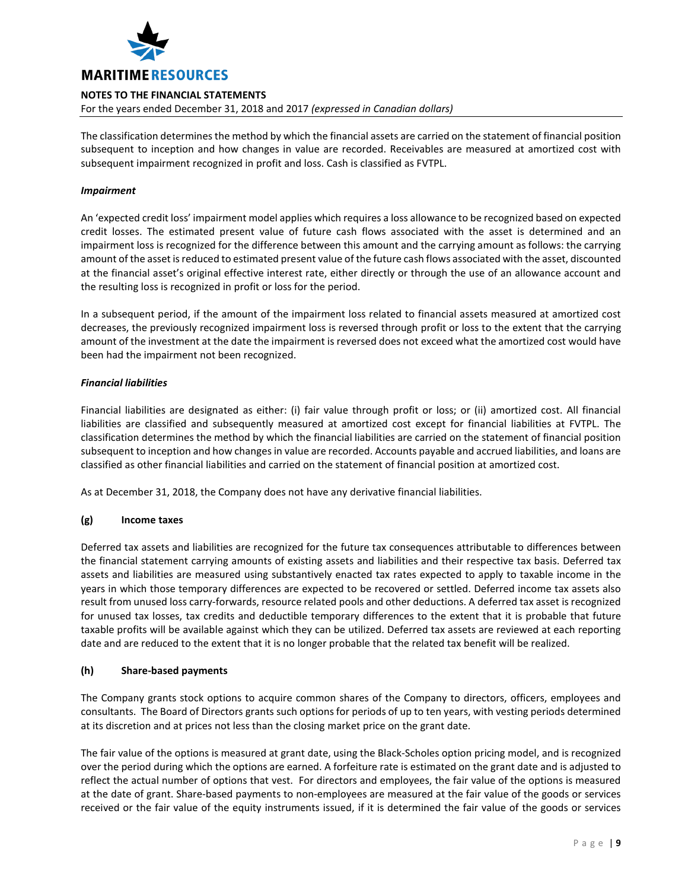

For the years ended December 31, 2018 and 2017 *(expressed in Canadian dollars)*

The classification determines the method by which the financial assets are carried on the statement of financial position subsequent to inception and how changes in value are recorded. Receivables are measured at amortized cost with subsequent impairment recognized in profit and loss. Cash is classified as FVTPL.

#### *Impairment*

An 'expected credit loss' impairment model applies which requires a loss allowance to be recognized based on expected credit losses. The estimated present value of future cash flows associated with the asset is determined and an impairment loss is recognized for the difference between this amount and the carrying amount as follows: the carrying amount of the asset is reduced to estimated present value of the future cash flows associated with the asset, discounted at the financial asset's original effective interest rate, either directly or through the use of an allowance account and the resulting loss is recognized in profit or loss for the period.

In a subsequent period, if the amount of the impairment loss related to financial assets measured at amortized cost decreases, the previously recognized impairment loss is reversed through profit or loss to the extent that the carrying amount of the investment at the date the impairment is reversed does not exceed what the amortized cost would have been had the impairment not been recognized.

#### *Financial liabilities*

Financial liabilities are designated as either: (i) fair value through profit or loss; or (ii) amortized cost. All financial liabilities are classified and subsequently measured at amortized cost except for financial liabilities at FVTPL. The classification determines the method by which the financial liabilities are carried on the statement of financial position subsequent to inception and how changes in value are recorded. Accounts payable and accrued liabilities, and loans are classified as other financial liabilities and carried on the statement of financial position at amortized cost.

As at December 31, 2018, the Company does not have any derivative financial liabilities.

#### **(g) Income taxes**

Deferred tax assets and liabilities are recognized for the future tax consequences attributable to differences between the financial statement carrying amounts of existing assets and liabilities and their respective tax basis. Deferred tax assets and liabilities are measured using substantively enacted tax rates expected to apply to taxable income in the years in which those temporary differences are expected to be recovered or settled. Deferred income tax assets also result from unused loss carry-forwards, resource related pools and other deductions. A deferred tax asset is recognized for unused tax losses, tax credits and deductible temporary differences to the extent that it is probable that future taxable profits will be available against which they can be utilized. Deferred tax assets are reviewed at each reporting date and are reduced to the extent that it is no longer probable that the related tax benefit will be realized.

#### **(h) Share-based payments**

The Company grants stock options to acquire common shares of the Company to directors, officers, employees and consultants. The Board of Directors grants such options for periods of up to ten years, with vesting periods determined at its discretion and at prices not less than the closing market price on the grant date.

The fair value of the options is measured at grant date, using the Black-Scholes option pricing model, and is recognized over the period during which the options are earned. A forfeiture rate is estimated on the grant date and is adjusted to reflect the actual number of options that vest. For directors and employees, the fair value of the options is measured at the date of grant. Share-based payments to non-employees are measured at the fair value of the goods or services received or the fair value of the equity instruments issued, if it is determined the fair value of the goods or services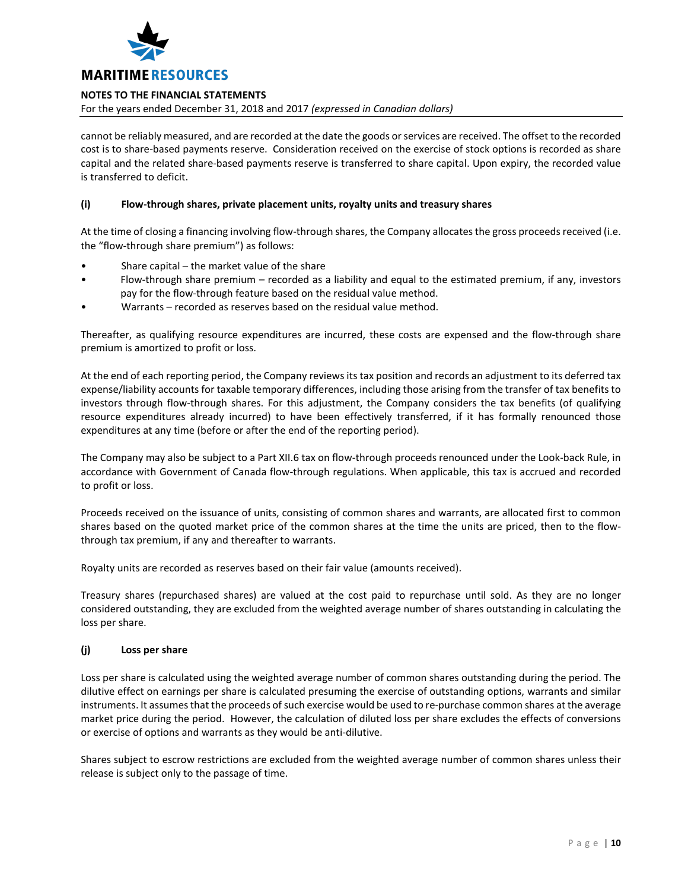

For the years ended December 31, 2018 and 2017 *(expressed in Canadian dollars)*

cannot be reliably measured, and are recorded at the date the goods or services are received. The offset to the recorded cost is to share-based payments reserve. Consideration received on the exercise of stock options is recorded as share capital and the related share-based payments reserve is transferred to share capital. Upon expiry, the recorded value is transferred to deficit.

## **(i) Flow-through shares, private placement units, royalty units and treasury shares**

At the time of closing a financing involving flow-through shares, the Company allocates the gross proceeds received (i.e. the "flow-through share premium") as follows:

- Share capital the market value of the share
- Flow-through share premium recorded as a liability and equal to the estimated premium, if any, investors pay for the flow-through feature based on the residual value method.
- Warrants recorded as reserves based on the residual value method.

Thereafter, as qualifying resource expenditures are incurred, these costs are expensed and the flow-through share premium is amortized to profit or loss.

At the end of each reporting period, the Company reviews its tax position and records an adjustment to its deferred tax expense/liability accounts for taxable temporary differences, including those arising from the transfer of tax benefits to investors through flow-through shares. For this adjustment, the Company considers the tax benefits (of qualifying resource expenditures already incurred) to have been effectively transferred, if it has formally renounced those expenditures at any time (before or after the end of the reporting period).

The Company may also be subject to a Part XII.6 tax on flow-through proceeds renounced under the Look-back Rule, in accordance with Government of Canada flow-through regulations. When applicable, this tax is accrued and recorded to profit or loss.

Proceeds received on the issuance of units, consisting of common shares and warrants, are allocated first to common shares based on the quoted market price of the common shares at the time the units are priced, then to the flowthrough tax premium, if any and thereafter to warrants.

Royalty units are recorded as reserves based on their fair value (amounts received).

Treasury shares (repurchased shares) are valued at the cost paid to repurchase until sold. As they are no longer considered outstanding, they are excluded from the weighted average number of shares outstanding in calculating the loss per share.

#### **(j) Loss per share**

Loss per share is calculated using the weighted average number of common shares outstanding during the period. The dilutive effect on earnings per share is calculated presuming the exercise of outstanding options, warrants and similar instruments. It assumes that the proceeds of such exercise would be used to re-purchase common shares at the average market price during the period. However, the calculation of diluted loss per share excludes the effects of conversions or exercise of options and warrants as they would be anti-dilutive.

Shares subject to escrow restrictions are excluded from the weighted average number of common shares unless their release is subject only to the passage of time.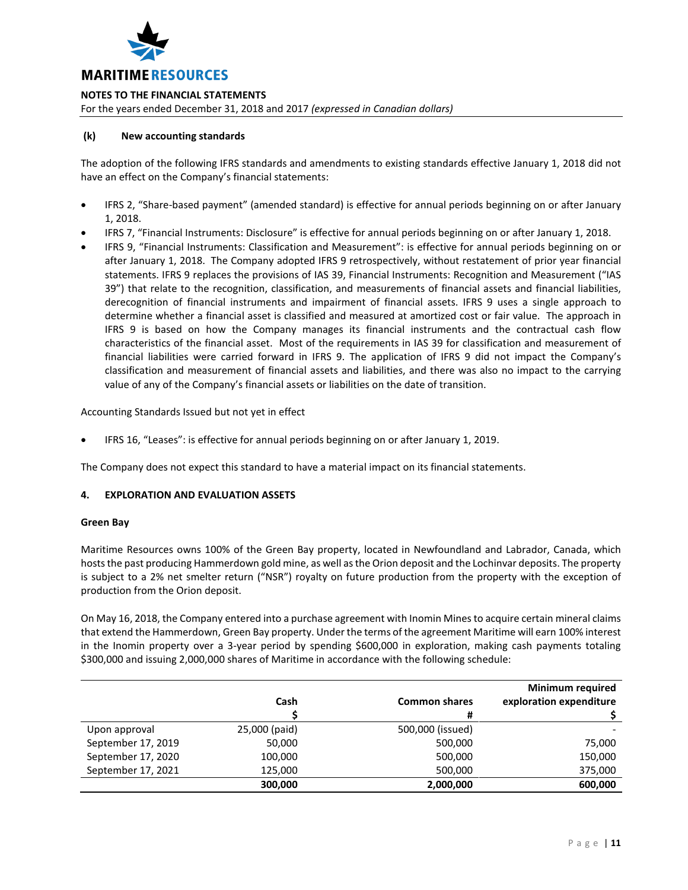

For the years ended December 31, 2018 and 2017 *(expressed in Canadian dollars)*

## **(k) New accounting standards**

The adoption of the following IFRS standards and amendments to existing standards effective January 1, 2018 did not have an effect on the Company's financial statements:

- IFRS 2, "Share-based payment" (amended standard) is effective for annual periods beginning on or after January 1, 2018.
- IFRS 7, "Financial Instruments: Disclosure" is effective for annual periods beginning on or after January 1, 2018.
- IFRS 9, "Financial Instruments: Classification and Measurement": is effective for annual periods beginning on or after January 1, 2018. The Company adopted IFRS 9 retrospectively, without restatement of prior year financial statements. IFRS 9 replaces the provisions of IAS 39, Financial Instruments: Recognition and Measurement ("IAS 39") that relate to the recognition, classification, and measurements of financial assets and financial liabilities, derecognition of financial instruments and impairment of financial assets. IFRS 9 uses a single approach to determine whether a financial asset is classified and measured at amortized cost or fair value. The approach in IFRS 9 is based on how the Company manages its financial instruments and the contractual cash flow characteristics of the financial asset. Most of the requirements in IAS 39 for classification and measurement of financial liabilities were carried forward in IFRS 9. The application of IFRS 9 did not impact the Company's classification and measurement of financial assets and liabilities, and there was also no impact to the carrying value of any of the Company's financial assets or liabilities on the date of transition.

Accounting Standards Issued but not yet in effect

• IFRS 16, "Leases": is effective for annual periods beginning on or after January 1, 2019.

The Company does not expect this standard to have a material impact on its financial statements.

## **4. EXPLORATION AND EVALUATION ASSETS**

#### **Green Bay**

Maritime Resources owns 100% of the Green Bay property, located in Newfoundland and Labrador, Canada, which hosts the past producing Hammerdown gold mine, as well as the Orion deposit and the Lochinvar deposits. The property is subject to a 2% net smelter return ("NSR") royalty on future production from the property with the exception of production from the Orion deposit.

On May 16, 2018, the Company entered into a purchase agreement with Inomin Mines to acquire certain mineral claims that extend the Hammerdown, Green Bay property. Under the terms of the agreement Maritime will earn 100% interest in the Inomin property over a 3-year period by spending \$600,000 in exploration, making cash payments totaling \$300,000 and issuing 2,000,000 shares of Maritime in accordance with the following schedule:

|                    |               |                      | <b>Minimum required</b> |
|--------------------|---------------|----------------------|-------------------------|
|                    | Cash          | <b>Common shares</b> | exploration expenditure |
|                    |               | #                    |                         |
| Upon approval      | 25,000 (paid) | 500,000 (issued)     |                         |
| September 17, 2019 | 50,000        | 500,000              | 75,000                  |
| September 17, 2020 | 100,000       | 500,000              | 150,000                 |
| September 17, 2021 | 125,000       | 500,000              | 375,000                 |
|                    | 300,000       | 2,000,000            | 600,000                 |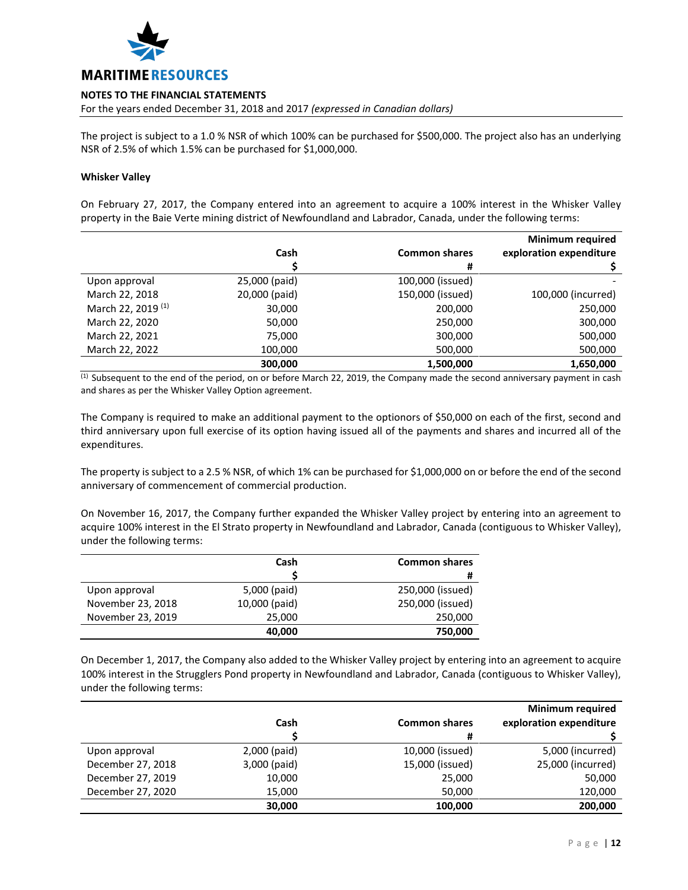

For the years ended December 31, 2018 and 2017 *(expressed in Canadian dollars)*

The project is subject to a 1.0 % NSR of which 100% can be purchased for \$500,000. The project also has an underlying NSR of 2.5% of which 1.5% can be purchased for \$1,000,000.

#### **Whisker Valley**

On February 27, 2017, the Company entered into an agreement to acquire a 100% interest in the Whisker Valley property in the Baie Verte mining district of Newfoundland and Labrador, Canada, under the following terms:

|                               |               |                      | <b>Minimum required</b> |
|-------------------------------|---------------|----------------------|-------------------------|
|                               | Cash          | <b>Common shares</b> | exploration expenditure |
|                               |               | #                    |                         |
| Upon approval                 | 25,000 (paid) | 100,000 (issued)     |                         |
| March 22, 2018                | 20,000 (paid) | 150,000 (issued)     | 100,000 (incurred)      |
| March 22, 2019 <sup>(1)</sup> | 30,000        | 200,000              | 250,000                 |
| March 22, 2020                | 50,000        | 250,000              | 300,000                 |
| March 22, 2021                | 75,000        | 300,000              | 500,000                 |
| March 22, 2022                | 100,000       | 500,000              | 500,000                 |
|                               | 300.000       | 1,500,000            | 1,650,000               |

(1) Subsequent to the end of the period, on or before March 22, 2019, the Company made the second anniversary payment in cash and shares as per the Whisker Valley Option agreement.

The Company is required to make an additional payment to the optionors of \$50,000 on each of the first, second and third anniversary upon full exercise of its option having issued all of the payments and shares and incurred all of the expenditures.

The property is subject to a 2.5 % NSR, of which 1% can be purchased for \$1,000,000 on or before the end of the second anniversary of commencement of commercial production.

On November 16, 2017, the Company further expanded the Whisker Valley project by entering into an agreement to acquire 100% interest in the El Strato property in Newfoundland and Labrador, Canada (contiguous to Whisker Valley), under the following terms:

|                   | Cash          | <b>Common shares</b> |
|-------------------|---------------|----------------------|
|                   |               | #                    |
| Upon approval     | 5,000 (paid)  | 250,000 (issued)     |
| November 23, 2018 | 10,000 (paid) | 250,000 (issued)     |
| November 23, 2019 | 25,000        | 250,000              |
|                   | 40,000        | 750,000              |

On December 1, 2017, the Company also added to the Whisker Valley project by entering into an agreement to acquire 100% interest in the Strugglers Pond property in Newfoundland and Labrador, Canada (contiguous to Whisker Valley), under the following terms:

|                   |              |                      | <b>Minimum required</b> |
|-------------------|--------------|----------------------|-------------------------|
|                   | Cash         | <b>Common shares</b> | exploration expenditure |
|                   |              | #                    |                         |
| Upon approval     | 2,000 (paid) | 10,000 (issued)      | 5,000 (incurred)        |
| December 27, 2018 | 3,000 (paid) | 15,000 (issued)      | 25,000 (incurred)       |
| December 27, 2019 | 10,000       | 25,000               | 50,000                  |
| December 27, 2020 | 15,000       | 50,000               | 120,000                 |
|                   | 30,000       | 100,000              | 200,000                 |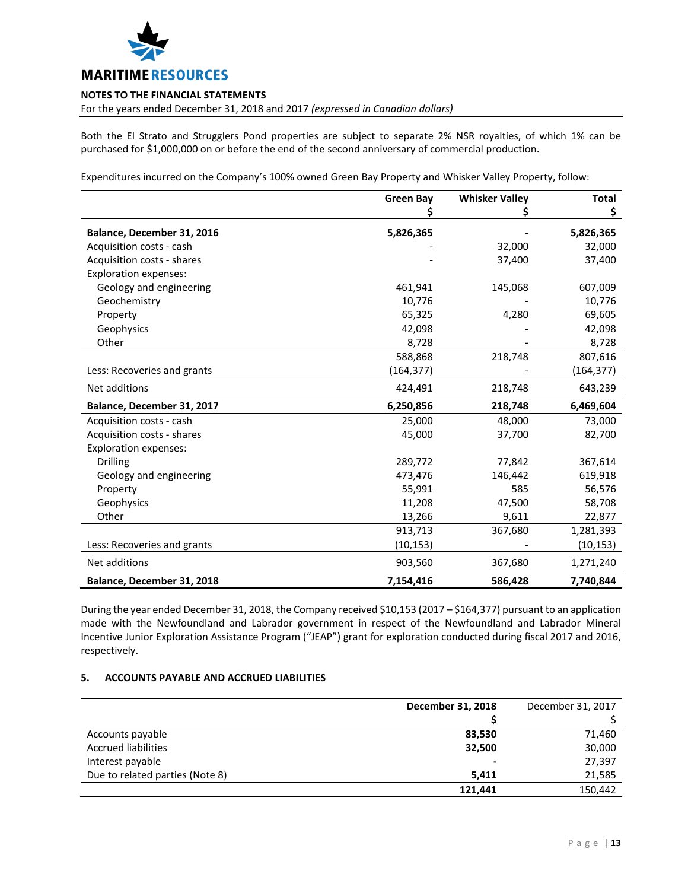

For the years ended December 31, 2018 and 2017 *(expressed in Canadian dollars)*

Both the El Strato and Strugglers Pond properties are subject to separate 2% NSR royalties, of which 1% can be purchased for \$1,000,000 on or before the end of the second anniversary of commercial production.

Expenditures incurred on the Company's 100% owned Green Bay Property and Whisker Valley Property, follow:

|                              | <b>Green Bay</b><br>\$ | <b>Whisker Valley</b><br>Ş | <b>Total</b><br>\$ |
|------------------------------|------------------------|----------------------------|--------------------|
| Balance, December 31, 2016   | 5,826,365              |                            | 5,826,365          |
| Acquisition costs - cash     |                        | 32,000                     | 32,000             |
| Acquisition costs - shares   |                        | 37,400                     | 37,400             |
| <b>Exploration expenses:</b> |                        |                            |                    |
| Geology and engineering      | 461,941                | 145,068                    | 607,009            |
| Geochemistry                 | 10,776                 |                            | 10,776             |
| Property                     | 65,325                 | 4,280                      | 69,605             |
| Geophysics                   | 42,098                 |                            | 42,098             |
| Other                        | 8,728                  |                            | 8,728              |
|                              | 588,868                | 218,748                    | 807,616            |
| Less: Recoveries and grants  | (164,377)              |                            | (164, 377)         |
| Net additions                | 424,491                | 218,748                    | 643,239            |
| Balance, December 31, 2017   | 6,250,856              | 218,748                    | 6,469,604          |
| Acquisition costs - cash     | 25,000                 | 48,000                     | 73,000             |
| Acquisition costs - shares   | 45,000                 | 37,700                     | 82,700             |
| <b>Exploration expenses:</b> |                        |                            |                    |
| <b>Drilling</b>              | 289,772                | 77,842                     | 367,614            |
| Geology and engineering      | 473,476                | 146,442                    | 619,918            |
| Property                     | 55,991                 | 585                        | 56,576             |
| Geophysics                   | 11,208                 | 47,500                     | 58,708             |
| Other                        | 13,266                 | 9,611                      | 22,877             |
|                              | 913,713                | 367,680                    | 1,281,393          |
| Less: Recoveries and grants  | (10, 153)              |                            | (10, 153)          |
| Net additions                | 903,560                | 367,680                    | 1,271,240          |
| Balance, December 31, 2018   | 7,154,416              | 586,428                    | 7,740,844          |

During the year ended December 31, 2018, the Company received \$10,153 (2017 – \$164,377) pursuant to an application made with the Newfoundland and Labrador government in respect of the Newfoundland and Labrador Mineral Incentive Junior Exploration Assistance Program ("JEAP") grant for exploration conducted during fiscal 2017 and 2016, respectively.

#### **5. ACCOUNTS PAYABLE AND ACCRUED LIABILITIES**

|                                 | December 31, 2018 | December 31, 2017 |
|---------------------------------|-------------------|-------------------|
|                                 |                   |                   |
| Accounts payable                | 83,530            | 71,460            |
| <b>Accrued liabilities</b>      | 32,500            | 30,000            |
| Interest payable                | $\blacksquare$    | 27,397            |
| Due to related parties (Note 8) | 5,411             | 21,585            |
|                                 | 121,441           | 150,442           |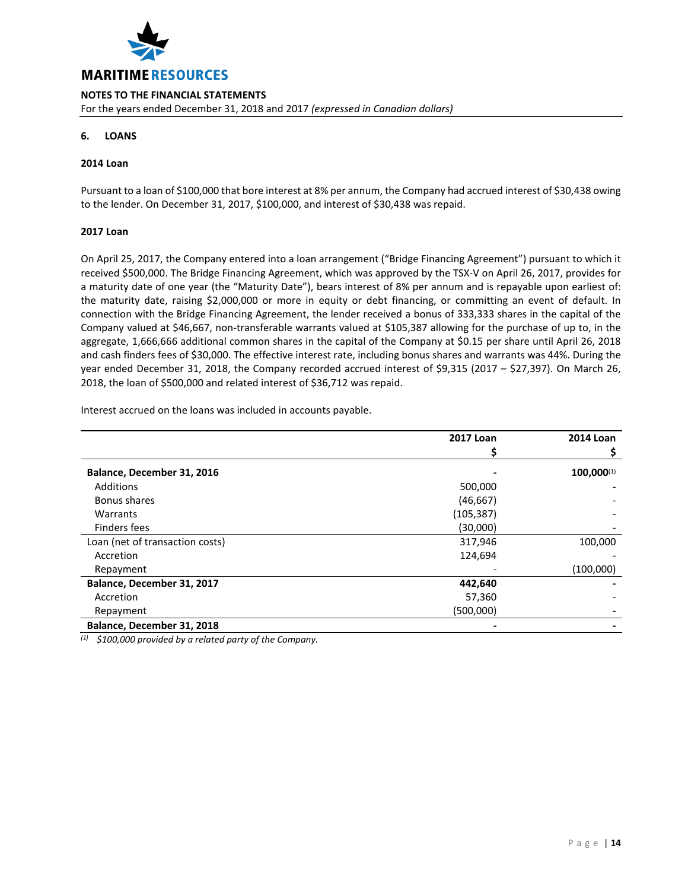

For the years ended December 31, 2018 and 2017 *(expressed in Canadian dollars)*

## **6. LOANS**

#### **2014 Loan**

Pursuant to a loan of \$100,000 that bore interest at 8% per annum, the Company had accrued interest of \$30,438 owing to the lender. On December 31, 2017, \$100,000, and interest of \$30,438 was repaid.

#### **2017 Loan**

On April 25, 2017, the Company entered into a loan arrangement ("Bridge Financing Agreement") pursuant to which it received \$500,000. The Bridge Financing Agreement, which was approved by the TSX-V on April 26, 2017, provides for a maturity date of one year (the "Maturity Date"), bears interest of 8% per annum and is repayable upon earliest of: the maturity date, raising \$2,000,000 or more in equity or debt financing, or committing an event of default. In connection with the Bridge Financing Agreement, the lender received a bonus of 333,333 shares in the capital of the Company valued at \$46,667, non-transferable warrants valued at \$105,387 allowing for the purchase of up to, in the aggregate, 1,666,666 additional common shares in the capital of the Company at \$0.15 per share until April 26, 2018 and cash finders fees of \$30,000. The effective interest rate, including bonus shares and warrants was 44%. During the year ended December 31, 2018, the Company recorded accrued interest of \$9,315 (2017 – \$27,397). On March 26, 2018, the loan of \$500,000 and related interest of \$36,712 was repaid.

Interest accrued on the loans was included in accounts payable.

|                                 | <b>2017 Loan</b> | <b>2014 Loan</b> |
|---------------------------------|------------------|------------------|
|                                 |                  |                  |
| Balance, December 31, 2016      |                  | $100,000^{(1)}$  |
| Additions                       | 500,000          |                  |
| Bonus shares                    | (46, 667)        |                  |
| Warrants                        | (105, 387)       |                  |
| Finders fees                    | (30,000)         |                  |
| Loan (net of transaction costs) | 317,946          | 100,000          |
| Accretion                       | 124,694          |                  |
| Repayment                       |                  | (100,000)        |
| Balance, December 31, 2017      | 442,640          |                  |
| Accretion                       | 57,360           |                  |
| Repayment                       | (500,000)        |                  |
| Balance, December 31, 2018      |                  |                  |

*(1) \$100,000 provided by a related party of the Company.*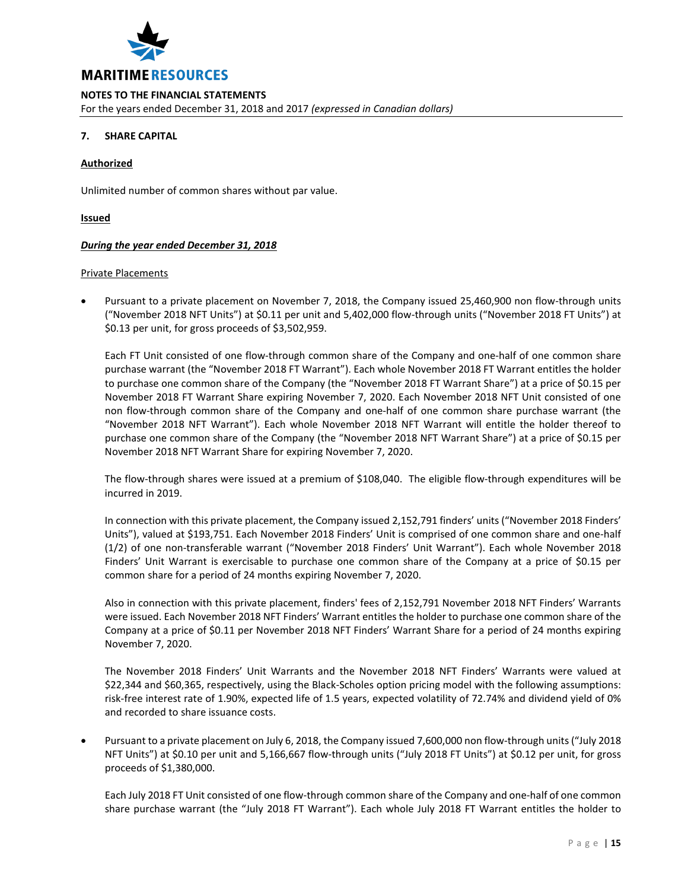

# For the years ended December 31, 2018 and 2017 *(expressed in Canadian dollars)*

# **7. SHARE CAPITAL**

#### **Authorized**

Unlimited number of common shares without par value.

#### **Issued**

#### *During the year ended December 31, 2018*

#### Private Placements

• Pursuant to a private placement on November 7, 2018, the Company issued 25,460,900 non flow-through units ("November 2018 NFT Units") at \$0.11 per unit and 5,402,000 flow-through units ("November 2018 FT Units") at \$0.13 per unit, for gross proceeds of \$3,502,959.

Each FT Unit consisted of one flow-through common share of the Company and one-half of one common share purchase warrant (the "November 2018 FT Warrant"). Each whole November 2018 FT Warrant entitles the holder to purchase one common share of the Company (the "November 2018 FT Warrant Share") at a price of \$0.15 per November 2018 FT Warrant Share expiring November 7, 2020. Each November 2018 NFT Unit consisted of one non flow-through common share of the Company and one-half of one common share purchase warrant (the "November 2018 NFT Warrant"). Each whole November 2018 NFT Warrant will entitle the holder thereof to purchase one common share of the Company (the "November 2018 NFT Warrant Share") at a price of \$0.15 per November 2018 NFT Warrant Share for expiring November 7, 2020.

The flow-through shares were issued at a premium of \$108,040. The eligible flow-through expenditures will be incurred in 2019.

In connection with this private placement, the Company issued 2,152,791 finders' units ("November 2018 Finders' Units"), valued at \$193,751. Each November 2018 Finders' Unit is comprised of one common share and one-half (1/2) of one non-transferable warrant ("November 2018 Finders' Unit Warrant"). Each whole November 2018 Finders' Unit Warrant is exercisable to purchase one common share of the Company at a price of \$0.15 per common share for a period of 24 months expiring November 7, 2020.

Also in connection with this private placement, finders' fees of 2,152,791 November 2018 NFT Finders' Warrants were issued. Each November 2018 NFT Finders' Warrant entitles the holder to purchase one common share of the Company at a price of \$0.11 per November 2018 NFT Finders' Warrant Share for a period of 24 months expiring November 7, 2020.

The November 2018 Finders' Unit Warrants and the November 2018 NFT Finders' Warrants were valued at \$22,344 and \$60,365, respectively, using the Black-Scholes option pricing model with the following assumptions: risk-free interest rate of 1.90%, expected life of 1.5 years, expected volatility of 72.74% and dividend yield of 0% and recorded to share issuance costs.

• Pursuant to a private placement on July 6, 2018, the Company issued 7,600,000 non flow-through units ("July 2018 NFT Units") at \$0.10 per unit and 5,166,667 flow-through units ("July 2018 FT Units") at \$0.12 per unit, for gross proceeds of \$1,380,000.

Each July 2018 FT Unit consisted of one flow-through common share of the Company and one-half of one common share purchase warrant (the "July 2018 FT Warrant"). Each whole July 2018 FT Warrant entitles the holder to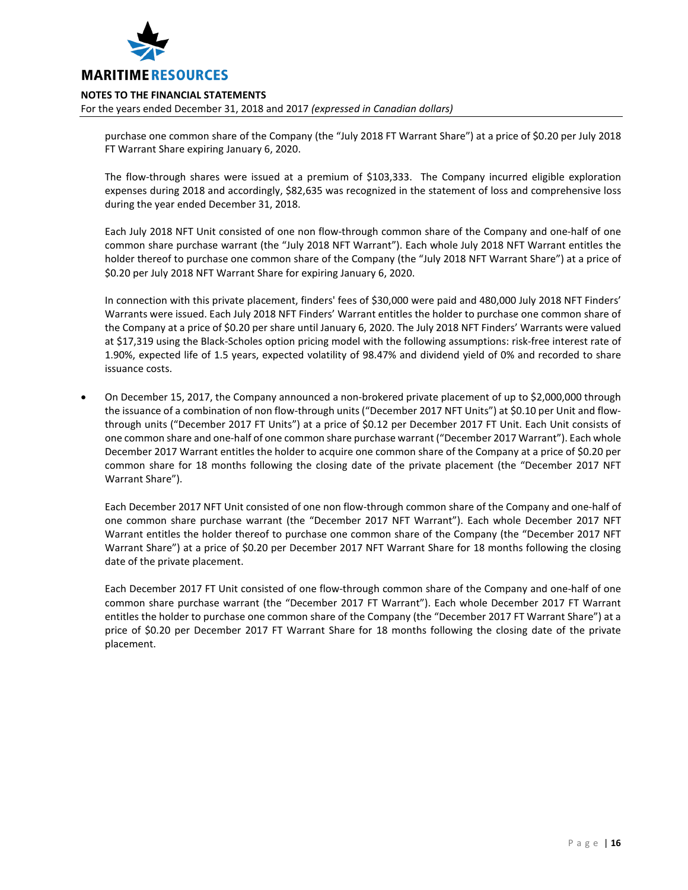

For the years ended December 31, 2018 and 2017 *(expressed in Canadian dollars)*

purchase one common share of the Company (the "July 2018 FT Warrant Share") at a price of \$0.20 per July 2018 FT Warrant Share expiring January 6, 2020.

The flow-through shares were issued at a premium of \$103,333. The Company incurred eligible exploration expenses during 2018 and accordingly, \$82,635 was recognized in the statement of loss and comprehensive loss during the year ended December 31, 2018.

Each July 2018 NFT Unit consisted of one non flow-through common share of the Company and one-half of one common share purchase warrant (the "July 2018 NFT Warrant"). Each whole July 2018 NFT Warrant entitles the holder thereof to purchase one common share of the Company (the "July 2018 NFT Warrant Share") at a price of \$0.20 per July 2018 NFT Warrant Share for expiring January 6, 2020.

In connection with this private placement, finders' fees of \$30,000 were paid and 480,000 July 2018 NFT Finders' Warrants were issued. Each July 2018 NFT Finders' Warrant entitles the holder to purchase one common share of the Company at a price of \$0.20 per share until January 6, 2020. The July 2018 NFT Finders' Warrants were valued at \$17,319 using the Black-Scholes option pricing model with the following assumptions: risk-free interest rate of 1.90%, expected life of 1.5 years, expected volatility of 98.47% and dividend yield of 0% and recorded to share issuance costs.

• On December 15, 2017, the Company announced a non-brokered private placement of up to \$2,000,000 through the issuance of a combination of non flow-through units ("December 2017 NFT Units") at \$0.10 per Unit and flowthrough units ("December 2017 FT Units") at a price of \$0.12 per December 2017 FT Unit. Each Unit consists of one common share and one-half of one common share purchase warrant ("December 2017 Warrant"). Each whole December 2017 Warrant entitles the holder to acquire one common share of the Company at a price of \$0.20 per common share for 18 months following the closing date of the private placement (the "December 2017 NFT Warrant Share").

Each December 2017 NFT Unit consisted of one non flow-through common share of the Company and one-half of one common share purchase warrant (the "December 2017 NFT Warrant"). Each whole December 2017 NFT Warrant entitles the holder thereof to purchase one common share of the Company (the "December 2017 NFT Warrant Share") at a price of \$0.20 per December 2017 NFT Warrant Share for 18 months following the closing date of the private placement.

Each December 2017 FT Unit consisted of one flow-through common share of the Company and one-half of one common share purchase warrant (the "December 2017 FT Warrant"). Each whole December 2017 FT Warrant entitles the holder to purchase one common share of the Company (the "December 2017 FT Warrant Share") at a price of \$0.20 per December 2017 FT Warrant Share for 18 months following the closing date of the private placement.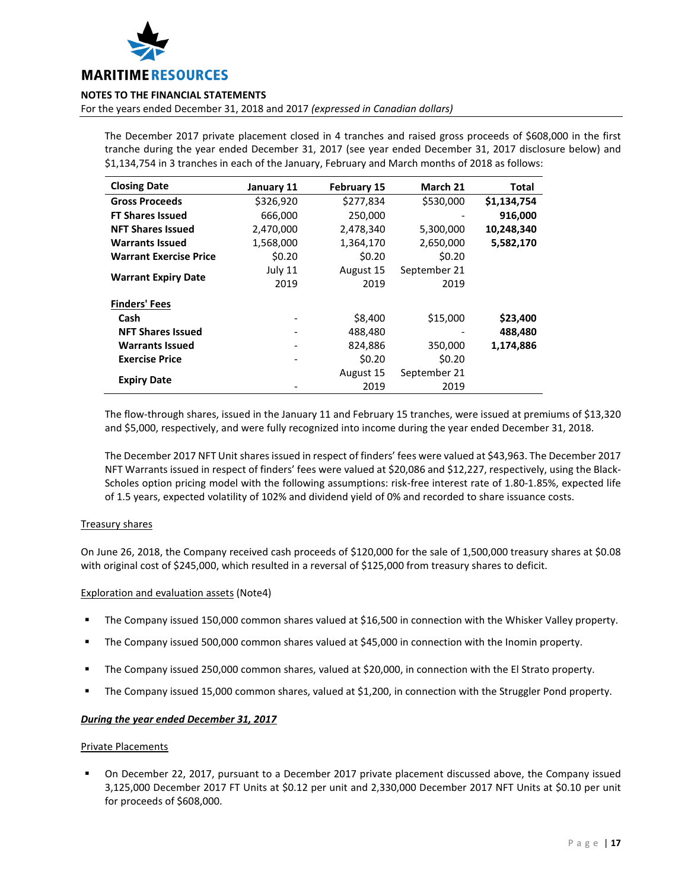

For the years ended December 31, 2018 and 2017 *(expressed in Canadian dollars)*

The December 2017 private placement closed in 4 tranches and raised gross proceeds of \$608,000 in the first tranche during the year ended December 31, 2017 (see year ended December 31, 2017 disclosure below) and \$1,134,754 in 3 tranches in each of the January, February and March months of 2018 as follows:

| <b>Closing Date</b>           | January 11 | <b>February 15</b> | March 21     | Total       |
|-------------------------------|------------|--------------------|--------------|-------------|
| <b>Gross Proceeds</b>         | \$326,920  | \$277,834          | \$530,000    | \$1,134,754 |
| <b>FT Shares Issued</b>       | 666,000    | 250,000            |              | 916.000     |
| <b>NFT Shares Issued</b>      | 2,470,000  | 2,478,340          | 5,300,000    | 10,248,340  |
| <b>Warrants Issued</b>        | 1,568,000  | 1,364,170          | 2,650,000    | 5,582,170   |
| <b>Warrant Exercise Price</b> | \$0.20     | \$0.20             | \$0.20       |             |
|                               | July 11    | August 15          | September 21 |             |
| <b>Warrant Expiry Date</b>    | 2019       | 2019               | 2019         |             |
| <b>Finders' Fees</b>          |            |                    |              |             |
| Cash                          |            | \$8,400            | \$15,000     | \$23,400    |
| <b>NFT Shares Issued</b>      |            | 488,480            |              | 488,480     |
| <b>Warrants Issued</b>        |            | 824,886            | 350,000      | 1,174,886   |
| <b>Exercise Price</b>         |            | \$0.20             | \$0.20       |             |
|                               |            | August 15          | September 21 |             |
| <b>Expiry Date</b>            |            | 2019               | 2019         |             |

The flow-through shares, issued in the January 11 and February 15 tranches, were issued at premiums of \$13,320 and \$5,000, respectively, and were fully recognized into income during the year ended December 31, 2018.

The December 2017 NFT Unit shares issued in respect of finders' fees were valued at \$43,963. The December 2017 NFT Warrants issued in respect of finders' fees were valued at \$20,086 and \$12,227, respectively, using the Black-Scholes option pricing model with the following assumptions: risk-free interest rate of 1.80-1.85%, expected life of 1.5 years, expected volatility of 102% and dividend yield of 0% and recorded to share issuance costs.

#### Treasury shares

On June 26, 2018, the Company received cash proceeds of \$120,000 for the sale of 1,500,000 treasury shares at \$0.08 with original cost of \$245,000, which resulted in a reversal of \$125,000 from treasury shares to deficit.

#### Exploration and evaluation assets (Note4)

- The Company issued 150,000 common shares valued at \$16,500 in connection with the Whisker Valley property.
- The Company issued 500,000 common shares valued at \$45,000 in connection with the Inomin property.
- The Company issued 250,000 common shares, valued at \$20,000, in connection with the El Strato property.
- The Company issued 15,000 common shares, valued at \$1,200, in connection with the Struggler Pond property.

#### *During the year ended December 31, 2017*

#### Private Placements

 On December 22, 2017, pursuant to a December 2017 private placement discussed above, the Company issued 3,125,000 December 2017 FT Units at \$0.12 per unit and 2,330,000 December 2017 NFT Units at \$0.10 per unit for proceeds of \$608,000.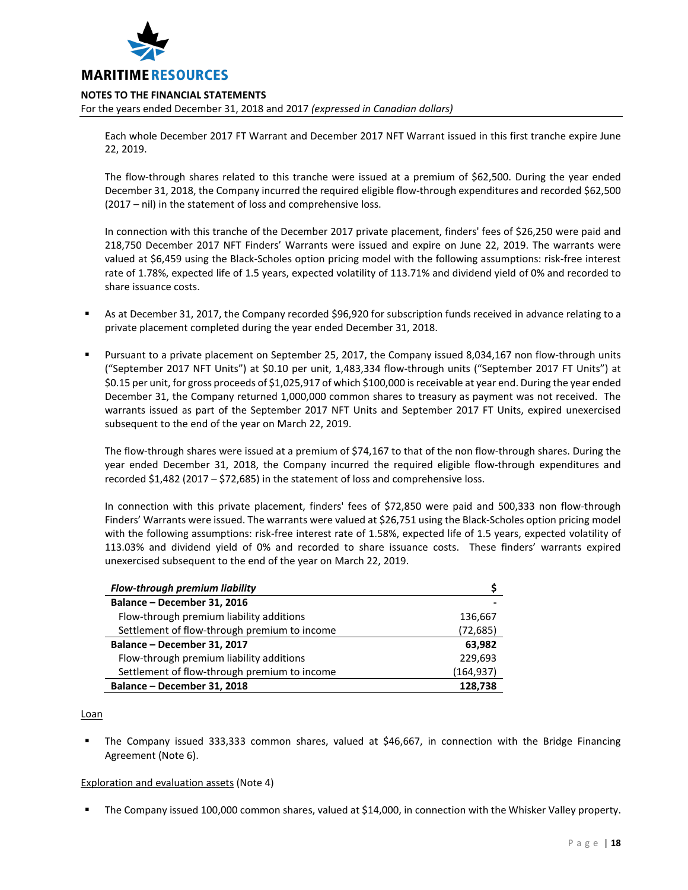

For the years ended December 31, 2018 and 2017 *(expressed in Canadian dollars)*

Each whole December 2017 FT Warrant and December 2017 NFT Warrant issued in this first tranche expire June 22, 2019.

The flow-through shares related to this tranche were issued at a premium of \$62,500. During the year ended December 31, 2018, the Company incurred the required eligible flow-through expenditures and recorded \$62,500 (2017 – nil) in the statement of loss and comprehensive loss.

In connection with this tranche of the December 2017 private placement, finders' fees of \$26,250 were paid and 218,750 December 2017 NFT Finders' Warrants were issued and expire on June 22, 2019. The warrants were valued at \$6,459 using the Black-Scholes option pricing model with the following assumptions: risk-free interest rate of 1.78%, expected life of 1.5 years, expected volatility of 113.71% and dividend yield of 0% and recorded to share issuance costs.

- As at December 31, 2017, the Company recorded \$96,920 for subscription funds received in advance relating to a private placement completed during the year ended December 31, 2018.
- Pursuant to a private placement on September 25, 2017, the Company issued 8,034,167 non flow-through units ("September 2017 NFT Units") at \$0.10 per unit, 1,483,334 flow-through units ("September 2017 FT Units") at \$0.15 per unit, for gross proceeds of \$1,025,917 of which \$100,000 is receivable at year end. During the year ended December 31, the Company returned 1,000,000 common shares to treasury as payment was not received. The warrants issued as part of the September 2017 NFT Units and September 2017 FT Units, expired unexercised subsequent to the end of the year on March 22, 2019.

The flow-through shares were issued at a premium of \$74,167 to that of the non flow-through shares. During the year ended December 31, 2018, the Company incurred the required eligible flow-through expenditures and recorded \$1,482 (2017 – \$72,685) in the statement of loss and comprehensive loss.

In connection with this private placement, finders' fees of \$72,850 were paid and 500,333 non flow-through Finders' Warrants were issued. The warrants were valued at \$26,751 using the Black-Scholes option pricing model with the following assumptions: risk-free interest rate of 1.58%, expected life of 1.5 years, expected volatility of 113.03% and dividend yield of 0% and recorded to share issuance costs. These finders' warrants expired unexercised subsequent to the end of the year on March 22, 2019.

| Flow-through premium liability               |           |
|----------------------------------------------|-----------|
| Balance - December 31, 2016                  |           |
| Flow-through premium liability additions     | 136,667   |
| Settlement of flow-through premium to income | (72, 685) |
| Balance - December 31, 2017                  | 63,982    |
| Flow-through premium liability additions     | 229,693   |
| Settlement of flow-through premium to income | (164,937) |
| Balance - December 31, 2018                  | 128,738   |

#### Loan

 The Company issued 333,333 common shares, valued at \$46,667, in connection with the Bridge Financing Agreement (Note 6).

#### Exploration and evaluation assets (Note 4)

The Company issued 100,000 common shares, valued at \$14,000, in connection with the Whisker Valley property.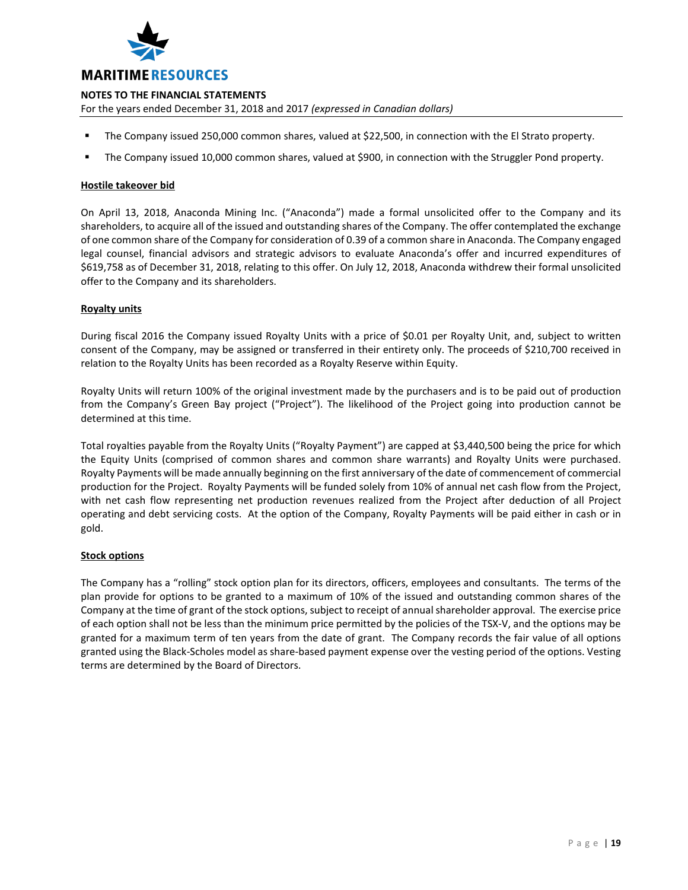

For the years ended December 31, 2018 and 2017 *(expressed in Canadian dollars)*

- The Company issued 250,000 common shares, valued at \$22,500, in connection with the El Strato property.
- The Company issued 10,000 common shares, valued at \$900, in connection with the Struggler Pond property.

#### **Hostile takeover bid**

On April 13, 2018, Anaconda Mining Inc. ("Anaconda") made a formal unsolicited offer to the Company and its shareholders, to acquire all of the issued and outstanding shares of the Company. The offer contemplated the exchange of one common share of the Company for consideration of 0.39 of a common share in Anaconda. The Company engaged legal counsel, financial advisors and strategic advisors to evaluate Anaconda's offer and incurred expenditures of \$619,758 as of December 31, 2018, relating to this offer. On July 12, 2018, Anaconda withdrew their formal unsolicited offer to the Company and its shareholders.

## **Royalty units**

During fiscal 2016 the Company issued Royalty Units with a price of \$0.01 per Royalty Unit, and, subject to written consent of the Company, may be assigned or transferred in their entirety only. The proceeds of \$210,700 received in relation to the Royalty Units has been recorded as a Royalty Reserve within Equity.

Royalty Units will return 100% of the original investment made by the purchasers and is to be paid out of production from the Company's Green Bay project ("Project"). The likelihood of the Project going into production cannot be determined at this time.

Total royalties payable from the Royalty Units ("Royalty Payment") are capped at \$3,440,500 being the price for which the Equity Units (comprised of common shares and common share warrants) and Royalty Units were purchased. Royalty Payments will be made annually beginning on the first anniversary of the date of commencement of commercial production for the Project. Royalty Payments will be funded solely from 10% of annual net cash flow from the Project, with net cash flow representing net production revenues realized from the Project after deduction of all Project operating and debt servicing costs. At the option of the Company, Royalty Payments will be paid either in cash or in gold.

#### **Stock options**

The Company has a "rolling" stock option plan for its directors, officers, employees and consultants. The terms of the plan provide for options to be granted to a maximum of 10% of the issued and outstanding common shares of the Company at the time of grant of the stock options, subject to receipt of annual shareholder approval. The exercise price of each option shall not be less than the minimum price permitted by the policies of the TSX-V, and the options may be granted for a maximum term of ten years from the date of grant. The Company records the fair value of all options granted using the Black-Scholes model as share-based payment expense over the vesting period of the options. Vesting terms are determined by the Board of Directors.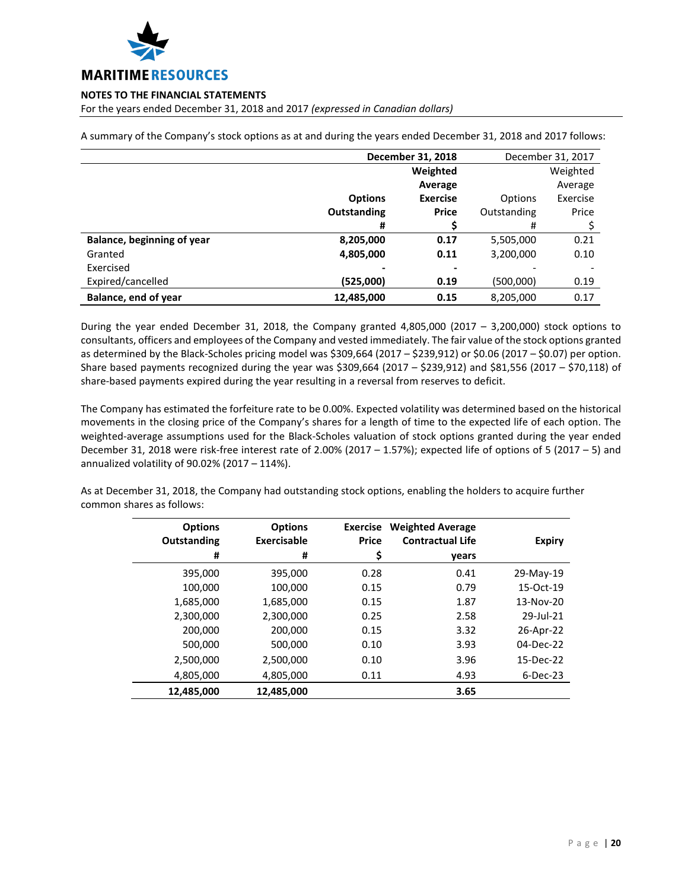

For the years ended December 31, 2018 and 2017 *(expressed in Canadian dollars)*

A summary of the Company's stock options as at and during the years ended December 31, 2018 and 2017 follows:

|                            | December 31, 2018 |                 | December 31, 2017 |          |
|----------------------------|-------------------|-----------------|-------------------|----------|
|                            |                   | Weighted        |                   | Weighted |
|                            |                   | Average         |                   | Average  |
|                            | <b>Options</b>    | <b>Exercise</b> | Options           | Exercise |
|                            | Outstanding       | <b>Price</b>    | Outstanding       | Price    |
|                            | #                 |                 | #                 |          |
| Balance, beginning of year | 8,205,000         | 0.17            | 5,505,000         | 0.21     |
| Granted                    | 4,805,000         | 0.11            | 3,200,000         | 0.10     |
| Exercised                  |                   |                 |                   |          |
| Expired/cancelled          | (525,000)         | 0.19            | (500,000)         | 0.19     |
| Balance, end of year       | 12,485,000        | 0.15            | 8,205,000         | 0.17     |

During the year ended December 31, 2018, the Company granted 4,805,000 (2017 – 3,200,000) stock options to consultants, officers and employees of the Company and vested immediately. The fair value of the stock options granted as determined by the Black-Scholes pricing model was \$309,664 (2017 – \$239,912) or \$0.06 (2017 – \$0.07) per option. Share based payments recognized during the year was \$309,664 (2017 – \$239,912) and \$81,556 (2017 – \$70,118) of share-based payments expired during the year resulting in a reversal from reserves to deficit.

The Company has estimated the forfeiture rate to be 0.00%. Expected volatility was determined based on the historical movements in the closing price of the Company's shares for a length of time to the expected life of each option. The weighted-average assumptions used for the Black-Scholes valuation of stock options granted during the year ended December 31, 2018 were risk-free interest rate of 2.00% (2017 – 1.57%); expected life of options of 5 (2017 – 5) and annualized volatility of 90.02% (2017 – 114%).

As at December 31, 2018, the Company had outstanding stock options, enabling the holders to acquire further common shares as follows:

| <b>Options</b><br>Outstanding | <b>Options</b><br>Exercisable | <b>Exercise</b><br><b>Price</b> | <b>Weighted Average</b><br><b>Contractual Life</b> | <b>Expiry</b> |
|-------------------------------|-------------------------------|---------------------------------|----------------------------------------------------|---------------|
| #                             | #                             | \$                              | years                                              |               |
| 395,000                       | 395,000                       | 0.28                            | 0.41                                               | 29-May-19     |
| 100,000                       | 100,000                       | 0.15                            | 0.79                                               | 15-Oct-19     |
| 1,685,000                     | 1,685,000                     | 0.15                            | 1.87                                               | 13-Nov-20     |
| 2,300,000                     | 2,300,000                     | 0.25                            | 2.58                                               | 29-Jul-21     |
| 200,000                       | 200,000                       | 0.15                            | 3.32                                               | 26-Apr-22     |
| 500,000                       | 500,000                       | 0.10                            | 3.93                                               | 04-Dec-22     |
| 2,500,000                     | 2,500,000                     | 0.10                            | 3.96                                               | 15-Dec-22     |
| 4,805,000                     | 4,805,000                     | 0.11                            | 4.93                                               | $6$ -Dec-23   |
| 12,485,000                    | 12,485,000                    |                                 | 3.65                                               |               |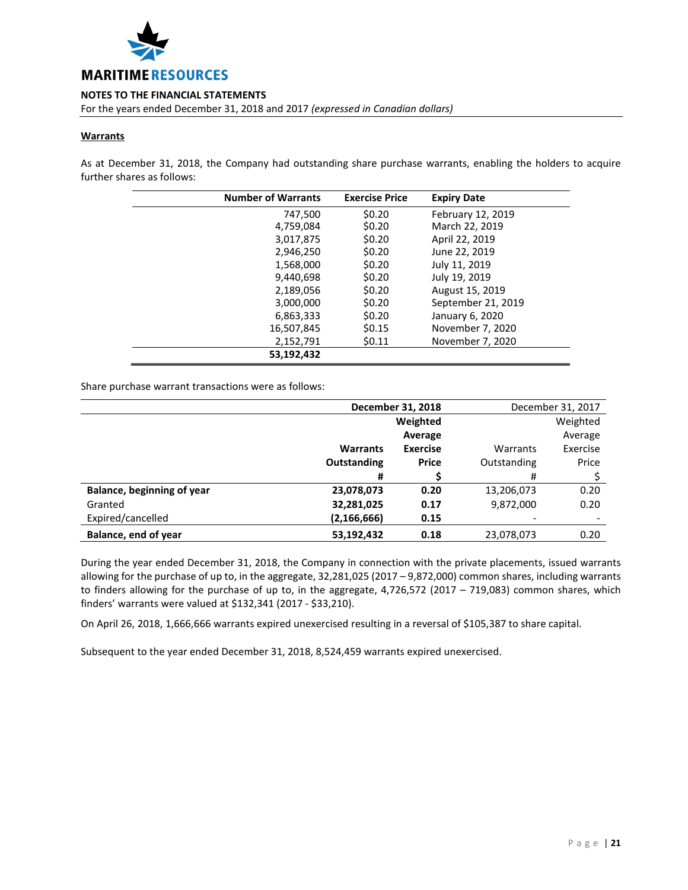

For the years ended December 31, 2018 and 2017 *(expressed in Canadian dollars)*

#### **Warrants**

As at December 31, 2018, the Company had outstanding share purchase warrants, enabling the holders to acquire further shares as follows:

| <b>Number of Warrants</b> | <b>Exercise Price</b> | <b>Expiry Date</b> |
|---------------------------|-----------------------|--------------------|
| 747,500                   | \$0.20                | February 12, 2019  |
| 4,759,084                 | \$0.20                | March 22, 2019     |
| 3,017,875                 | \$0.20                | April 22, 2019     |
| 2,946,250                 | \$0.20                | June 22, 2019      |
| 1,568,000                 | \$0.20                | July 11, 2019      |
| 9,440,698                 | \$0.20                | July 19, 2019      |
| 2,189,056                 | \$0.20                | August 15, 2019    |
| 3,000,000                 | \$0.20                | September 21, 2019 |
| 6,863,333                 | \$0.20                | January 6, 2020    |
| 16,507,845                | \$0.15                | November 7, 2020   |
| 2,152,791                 | \$0.11                | November 7, 2020   |
| 53,192,432                |                       |                    |

Share purchase warrant transactions were as follows:

|                                   | December 31, 2018  |                 | December 31, 2017 |          |
|-----------------------------------|--------------------|-----------------|-------------------|----------|
|                                   |                    | Weighted        |                   | Weighted |
|                                   |                    | Average         |                   | Average  |
|                                   | <b>Warrants</b>    | <b>Exercise</b> | Warrants          | Exercise |
|                                   | <b>Outstanding</b> | <b>Price</b>    | Outstanding       | Price    |
|                                   | #                  |                 | #                 |          |
| <b>Balance, beginning of year</b> | 23,078,073         | 0.20            | 13,206,073        | 0.20     |
| Granted                           | 32,281,025         | 0.17            | 9,872,000         | 0.20     |
| Expired/cancelled                 | (2, 166, 666)      | 0.15            |                   |          |
| Balance, end of year              | 53,192,432         | 0.18            | 23,078,073        | 0.20     |

During the year ended December 31, 2018, the Company in connection with the private placements, issued warrants allowing for the purchase of up to, in the aggregate, 32,281,025 (2017 – 9,872,000) common shares, including warrants to finders allowing for the purchase of up to, in the aggregate, 4,726,572 (2017 – 719,083) common shares, which finders' warrants were valued at \$132,341 (2017 - \$33,210).

On April 26, 2018, 1,666,666 warrants expired unexercised resulting in a reversal of \$105,387 to share capital.

Subsequent to the year ended December 31, 2018, 8,524,459 warrants expired unexercised.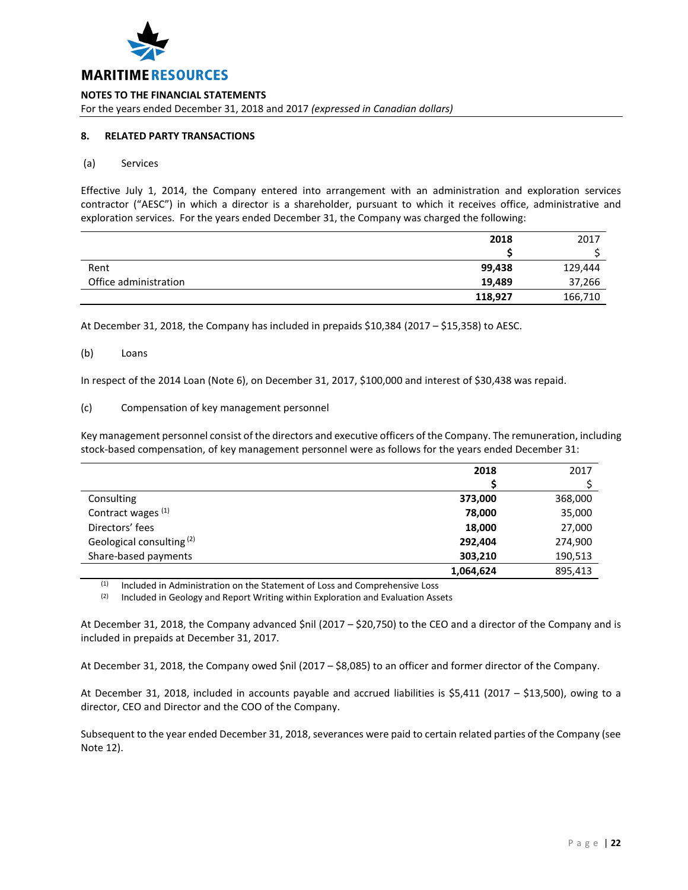

For the years ended December 31, 2018 and 2017 *(expressed in Canadian dollars)*

#### **8. RELATED PARTY TRANSACTIONS**

#### (a) Services

Effective July 1, 2014, the Company entered into arrangement with an administration and exploration services contractor ("AESC") in which a director is a shareholder, pursuant to which it receives office, administrative and exploration services. For the years ended December 31, the Company was charged the following:

|                       | 2018    | 2017    |
|-----------------------|---------|---------|
|                       |         |         |
| Rent                  | 99,438  | 129,444 |
| Office administration | 19,489  | 37,266  |
|                       | 118,927 | 166,710 |

At December 31, 2018, the Company has included in prepaids \$10,384 (2017 – \$15,358) to AESC.

#### (b) Loans

In respect of the 2014 Loan (Note 6), on December 31, 2017, \$100,000 and interest of \$30,438 was repaid.

#### (c) Compensation of key management personnel

Key management personnel consist of the directors and executive officers of the Company. The remuneration, including stock-based compensation, of key management personnel were as follows for the years ended December 31:

|                                      | 2018      | 2017    |
|--------------------------------------|-----------|---------|
|                                      |           |         |
| Consulting                           | 373,000   | 368,000 |
| Contract wages <sup>(1)</sup>        | 78,000    | 35,000  |
| Directors' fees                      | 18,000    | 27,000  |
| Geological consulting <sup>(2)</sup> | 292.404   | 274,900 |
| Share-based payments                 | 303,210   | 190,513 |
|                                      | 1,064,624 | 895,413 |

 $(1)$  Included in Administration on the Statement of Loss and Comprehensive Loss

(2) Included in Geology and Report Writing within Exploration and Evaluation Assets

At December 31, 2018, the Company advanced \$nil (2017 – \$20,750) to the CEO and a director of the Company and is included in prepaids at December 31, 2017.

At December 31, 2018, the Company owed \$nil (2017 – \$8,085) to an officer and former director of the Company.

At December 31, 2018, included in accounts payable and accrued liabilities is \$5,411 (2017 – \$13,500), owing to a director, CEO and Director and the COO of the Company.

Subsequent to the year ended December 31, 2018, severances were paid to certain related parties of the Company (see Note 12).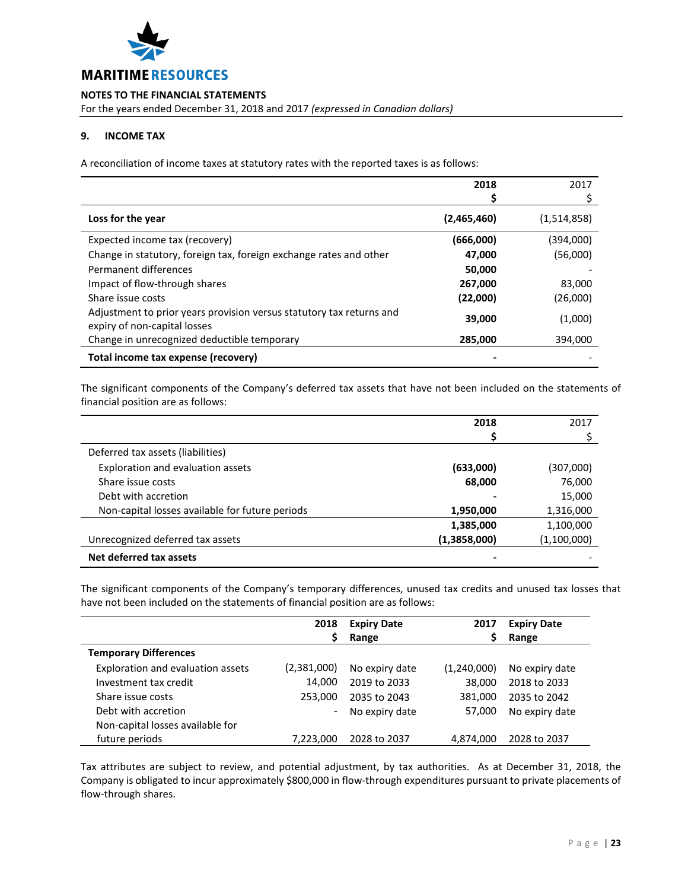

For the years ended December 31, 2018 and 2017 *(expressed in Canadian dollars)*

# **9. INCOME TAX**

A reconciliation of income taxes at statutory rates with the reported taxes is as follows:

|                                                                                                      | 2018        | 2017        |
|------------------------------------------------------------------------------------------------------|-------------|-------------|
|                                                                                                      |             |             |
| Loss for the year                                                                                    | (2,465,460) | (1,514,858) |
| Expected income tax (recovery)                                                                       | (666,000)   | (394,000)   |
| Change in statutory, foreign tax, foreign exchange rates and other                                   | 47,000      | (56,000)    |
| Permanent differences                                                                                | 50,000      |             |
| Impact of flow-through shares                                                                        | 267,000     | 83,000      |
| Share issue costs                                                                                    | (22,000)    | (26,000)    |
| Adjustment to prior years provision versus statutory tax returns and<br>expiry of non-capital losses | 39,000      | (1,000)     |
| Change in unrecognized deductible temporary                                                          | 285,000     | 394,000     |
| Total income tax expense (recovery)                                                                  |             |             |

The significant components of the Company's deferred tax assets that have not been included on the statements of financial position are as follows:

|                                                 | 2018         | 2017        |
|-------------------------------------------------|--------------|-------------|
|                                                 |              |             |
| Deferred tax assets (liabilities)               |              |             |
| Exploration and evaluation assets               | (633,000)    | (307,000)   |
| Share issue costs                               | 68,000       | 76,000      |
| Debt with accretion                             |              | 15,000      |
| Non-capital losses available for future periods | 1,950,000    | 1,316,000   |
|                                                 | 1,385,000    | 1,100,000   |
| Unrecognized deferred tax assets                | (1,3858,000) | (1,100,000) |
| Net deferred tax assets                         |              |             |

The significant components of the Company's temporary differences, unused tax credits and unused tax losses that have not been included on the statements of financial position are as follows:

|                                   | 2018        | <b>Expiry Date</b> | 2017        | <b>Expiry Date</b> |
|-----------------------------------|-------------|--------------------|-------------|--------------------|
|                                   |             | Range              |             | Range              |
| <b>Temporary Differences</b>      |             |                    |             |                    |
| Exploration and evaluation assets | (2,381,000) | No expiry date     | (1,240,000) | No expiry date     |
| Investment tax credit             | 14.000      | 2019 to 2033       | 38,000      | 2018 to 2033       |
| Share issue costs                 | 253,000     | 2035 to 2043       | 381,000     | 2035 to 2042       |
| Debt with accretion               |             | No expiry date     | 57,000      | No expiry date     |
| Non-capital losses available for  |             |                    |             |                    |
| future periods                    | 7,223,000   | 2028 to 2037       | 4,874,000   | 2028 to 2037       |

Tax attributes are subject to review, and potential adjustment, by tax authorities. As at December 31, 2018, the Company is obligated to incur approximately \$800,000 in flow-through expenditures pursuant to private placements of flow-through shares.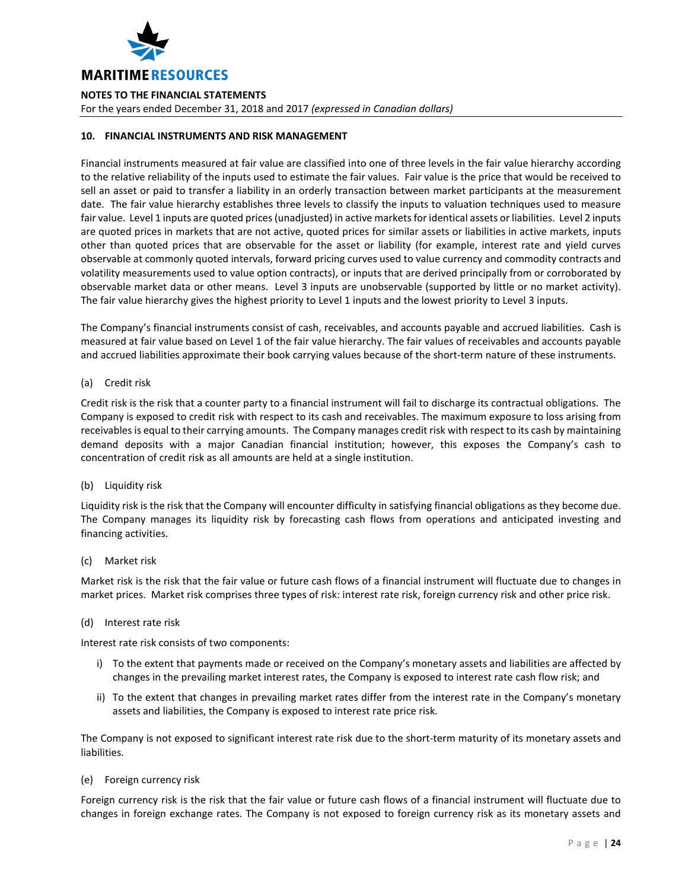

For the years ended December 31, 2018 and 2017 *(expressed in Canadian dollars)*

# **10. FINANCIAL INSTRUMENTS AND RISK MANAGEMENT**

Financial instruments measured at fair value are classified into one of three levels in the fair value hierarchy according to the relative reliability of the inputs used to estimate the fair values. Fair value is the price that would be received to sell an asset or paid to transfer a liability in an orderly transaction between market participants at the measurement date. The fair value hierarchy establishes three levels to classify the inputs to valuation techniques used to measure fair value. Level 1 inputs are quoted prices (unadjusted) in active markets for identical assets or liabilities. Level 2 inputs are quoted prices in markets that are not active, quoted prices for similar assets or liabilities in active markets, inputs other than quoted prices that are observable for the asset or liability (for example, interest rate and yield curves observable at commonly quoted intervals, forward pricing curves used to value currency and commodity contracts and volatility measurements used to value option contracts), or inputs that are derived principally from or corroborated by observable market data or other means. Level 3 inputs are unobservable (supported by little or no market activity). The fair value hierarchy gives the highest priority to Level 1 inputs and the lowest priority to Level 3 inputs.

The Company's financial instruments consist of cash, receivables, and accounts payable and accrued liabilities. Cash is measured at fair value based on Level 1 of the fair value hierarchy. The fair values of receivables and accounts payable and accrued liabilities approximate their book carrying values because of the short-term nature of these instruments.

(a) Credit risk

Credit risk is the risk that a counter party to a financial instrument will fail to discharge its contractual obligations. The Company is exposed to credit risk with respect to its cash and receivables. The maximum exposure to loss arising from receivables is equal to their carrying amounts. The Company manages credit risk with respect to its cash by maintaining demand deposits with a major Canadian financial institution; however, this exposes the Company's cash to concentration of credit risk as all amounts are held at a single institution.

#### (b) Liquidity risk

Liquidity risk is the risk that the Company will encounter difficulty in satisfying financial obligations as they become due. The Company manages its liquidity risk by forecasting cash flows from operations and anticipated investing and financing activities.

(c) Market risk

Market risk is the risk that the fair value or future cash flows of a financial instrument will fluctuate due to changes in market prices. Market risk comprises three types of risk: interest rate risk, foreign currency risk and other price risk.

#### (d) Interest rate risk

Interest rate risk consists of two components:

- i) To the extent that payments made or received on the Company's monetary assets and liabilities are affected by changes in the prevailing market interest rates, the Company is exposed to interest rate cash flow risk; and
- ii) To the extent that changes in prevailing market rates differ from the interest rate in the Company's monetary assets and liabilities, the Company is exposed to interest rate price risk.

The Company is not exposed to significant interest rate risk due to the short-term maturity of its monetary assets and liabilities.

#### (e) Foreign currency risk

Foreign currency risk is the risk that the fair value or future cash flows of a financial instrument will fluctuate due to changes in foreign exchange rates. The Company is not exposed to foreign currency risk as its monetary assets and